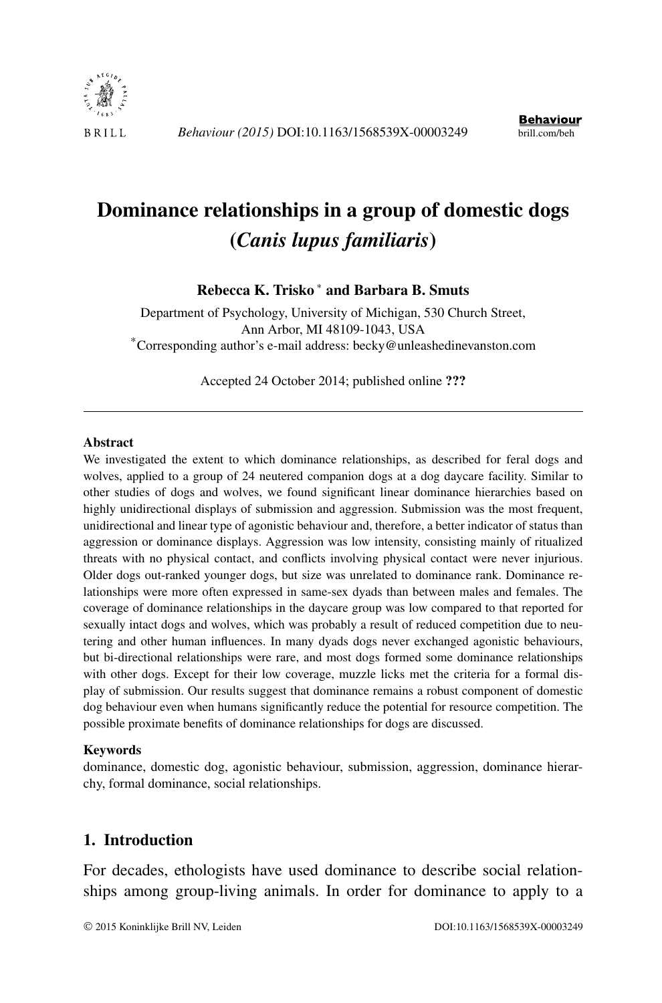

# **Dominance relationships in a group of domestic dogs (***Canis lupus familiaris***)**

# **Rebecca K. Trisko** <sup>∗</sup> **and Barbara B. Smuts**

Department of Psychology, University of Michigan, 530 Church Street, Ann Arbor, MI 48109-1043, USA<br>
\*Corresponding author's e-mail address: [becky@unleashedinevanston.com](mailto:becky@unleashedinevanston.com)

Accepted 24 October 2014; published online **???**

#### **Abstract**

We investigated the extent to which dominance relationships, as described for feral dogs and wolves, applied to a group of 24 neutered companion dogs at a dog daycare facility. Similar to other studies of dogs and wolves, we found significant linear dominance hierarchies based on highly unidirectional displays of submission and aggression. Submission was the most frequent, unidirectional and linear type of agonistic behaviour and, therefore, a better indicator of status than aggression or dominance displays. Aggression was low intensity, consisting mainly of ritualized threats with no physical contact, and conflicts involving physical contact were never injurious. Older dogs out-ranked younger dogs, but size was unrelated to dominance rank. Dominance relationships were more often expressed in same-sex dyads than between males and females. The coverage of dominance relationships in the daycare group was low compared to that reported for sexually intact dogs and wolves, which was probably a result of reduced competition due to neutering and other human influences. In many dyads dogs never exchanged agonistic behaviours, but bi-directional relationships were rare, and most dogs formed some dominance relationships with other dogs. Except for their low coverage, muzzle licks met the criteria for a formal display of submission. Our results suggest that dominance remains a robust component of domestic dog behaviour even when humans significantly reduce the potential for resource competition. The possible proximate benefits of dominance relationships for dogs are discussed.

#### **Keywords**

dominance, domestic dog, agonistic behaviour, submission, aggression, dominance hierarchy, formal dominance, social relationships.

# **1. Introduction**

For decades, ethologists have used dominance to describe social relationships among group-living animals. In order for dominance to apply to a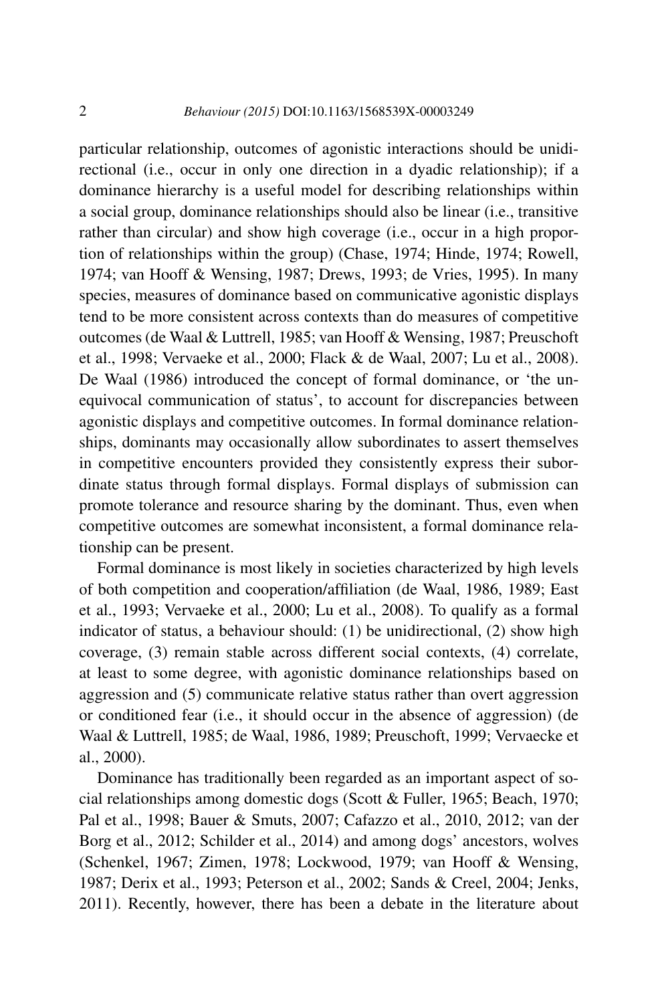particular relationship, outcomes of agonistic interactions should be unidirectional (i.e., occur in only one direction in a dyadic relationship); if a dominance hierarchy is a useful model for describing relationships within a social group, dominance relationships should also be linear (i.e., transitive rather than circular) and show high coverage (i.e., occur in a high proportion of relationships within the group) (Chase, 1974; Hinde, 1974; Rowell, 1974; van Hooff & Wensing, 1987; Drews, 1993; de Vries, 1995). In many species, measures of dominance based on communicative agonistic displays tend to be more consistent across contexts than do measures of competitive outcomes (de Waal & Luttrell, 1985; van Hooff & Wensing, 1987; Preuschoft et al., 1998; Vervaeke et al., 2000; Flack & de Waal, 2007; Lu et al., 2008). De Waal (1986) introduced the concept of formal dominance, or 'the unequivocal communication of status', to account for discrepancies between agonistic displays and competitive outcomes. In formal dominance relationships, dominants may occasionally allow subordinates to assert themselves in competitive encounters provided they consistently express their subordinate status through formal displays. Formal displays of submission can promote tolerance and resource sharing by the dominant. Thus, even when competitive outcomes are somewhat inconsistent, a formal dominance relationship can be present.

Formal dominance is most likely in societies characterized by high levels of both competition and cooperation/affiliation (de Waal, 1986, 1989; East et al., 1993; Vervaeke et al., 2000; Lu et al., 2008). To qualify as a formal indicator of status, a behaviour should: (1) be unidirectional, (2) show high coverage, (3) remain stable across different social contexts, (4) correlate, at least to some degree, with agonistic dominance relationships based on aggression and (5) communicate relative status rather than overt aggression or conditioned fear (i.e., it should occur in the absence of aggression) (de Waal & Luttrell, 1985; de Waal, 1986, 1989; Preuschoft, 1999; Vervaecke et al., 2000).

Dominance has traditionally been regarded as an important aspect of social relationships among domestic dogs (Scott & Fuller, 1965; Beach, 1970; Pal et al., 1998; Bauer & Smuts, 2007; Cafazzo et al., 2010, 2012; van der Borg et al., 2012; Schilder et al., 2014) and among dogs' ancestors, wolves (Schenkel, 1967; Zimen, 1978; Lockwood, 1979; van Hooff & Wensing, 1987; Derix et al., 1993; Peterson et al., 2002; Sands & Creel, 2004; Jenks, 2011). Recently, however, there has been a debate in the literature about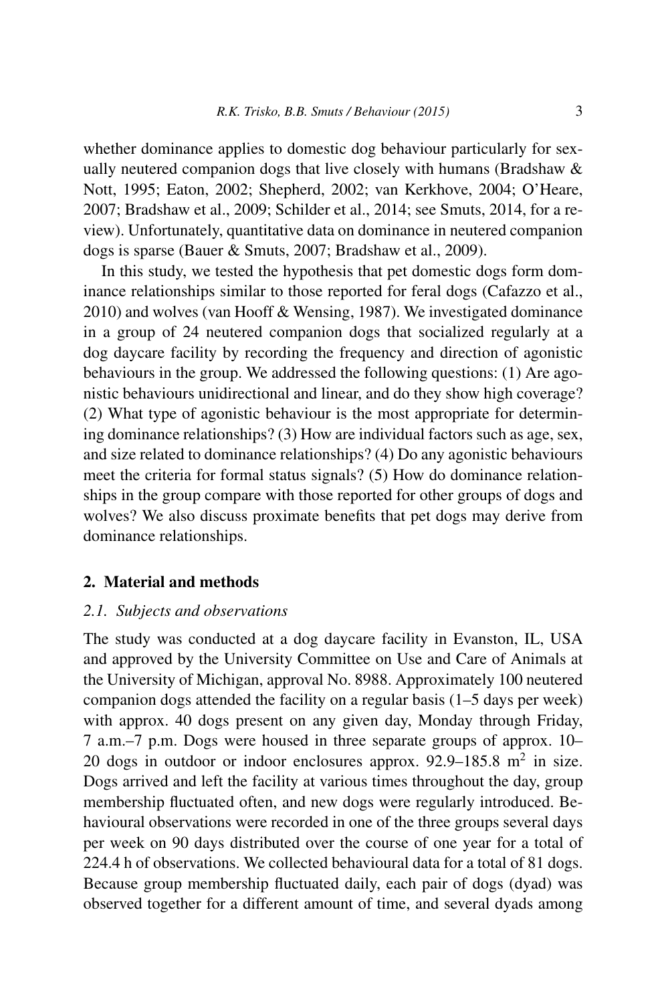whether dominance applies to domestic dog behaviour particularly for sexually neutered companion dogs that live closely with humans (Bradshaw & Nott, 1995; Eaton, 2002; Shepherd, 2002; van Kerkhove, 2004; O'Heare, 2007; Bradshaw et al., 2009; Schilder et al., 2014; see Smuts, 2014, for a review). Unfortunately, quantitative data on dominance in neutered companion dogs is sparse (Bauer & Smuts, 2007; Bradshaw et al., 2009).

In this study, we tested the hypothesis that pet domestic dogs form dominance relationships similar to those reported for feral dogs (Cafazzo et al., 2010) and wolves (van Hooff & Wensing, 1987). We investigated dominance in a group of 24 neutered companion dogs that socialized regularly at a dog daycare facility by recording the frequency and direction of agonistic behaviours in the group. We addressed the following questions: (1) Are agonistic behaviours unidirectional and linear, and do they show high coverage? (2) What type of agonistic behaviour is the most appropriate for determining dominance relationships? (3) How are individual factors such as age, sex, and size related to dominance relationships? (4) Do any agonistic behaviours meet the criteria for formal status signals? (5) How do dominance relationships in the group compare with those reported for other groups of dogs and wolves? We also discuss proximate benefits that pet dogs may derive from dominance relationships.

#### **2. Material and methods**

#### *2.1. Subjects and observations*

The study was conducted at a dog daycare facility in Evanston, IL, USA and approved by the University Committee on Use and Care of Animals at the University of Michigan, approval No. 8988. Approximately 100 neutered companion dogs attended the facility on a regular basis (1–5 days per week) with approx. 40 dogs present on any given day, Monday through Friday, 7 a.m.–7 p.m. Dogs were housed in three separate groups of approx. 10– 20 dogs in outdoor or indoor enclosures approx.  $92.9-185.8$  m<sup>2</sup> in size. Dogs arrived and left the facility at various times throughout the day, group membership fluctuated often, and new dogs were regularly introduced. Behavioural observations were recorded in one of the three groups several days per week on 90 days distributed over the course of one year for a total of 224.4 h of observations. We collected behavioural data for a total of 81 dogs. Because group membership fluctuated daily, each pair of dogs (dyad) was observed together for a different amount of time, and several dyads among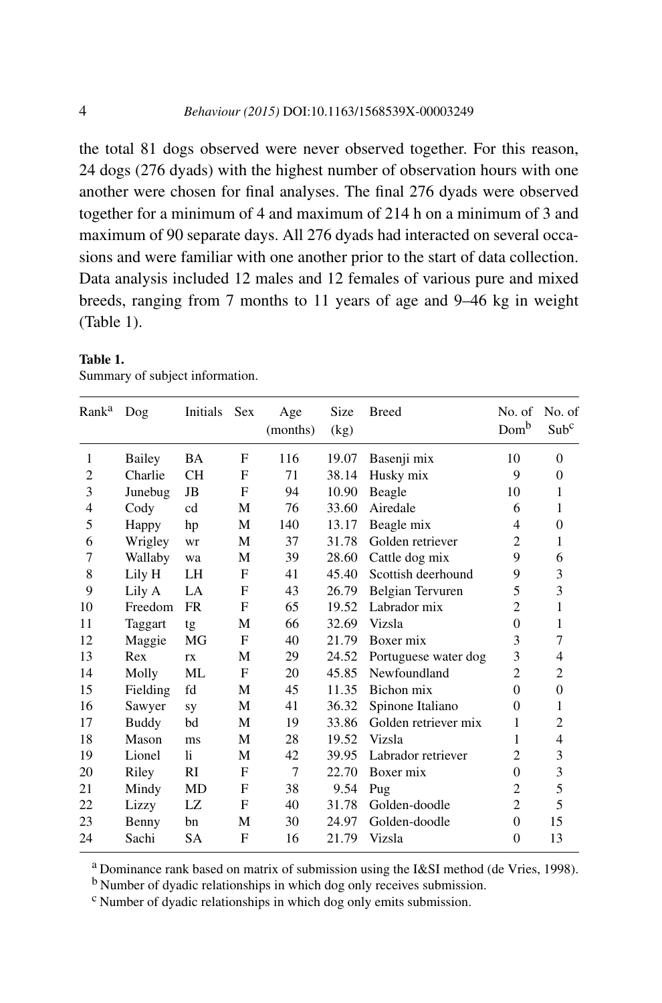the total 81 dogs observed were never observed together. For this reason, 24 dogs (276 dyads) with the highest number of observation hours with one another were chosen for final analyses. The final 276 dyads were observed together for a minimum of 4 and maximum of 214 h on a minimum of 3 and maximum of 90 separate days. All 276 dyads had interacted on several occasions and were familiar with one another prior to the start of data collection. Data analysis included 12 males and 12 females of various pure and mixed breeds, ranging from 7 months to 11 years of age and 9–46 kg in weight (Table 1).

| Rank <sup>a</sup> | Dog          | Initials  | <b>Sex</b>   | Age<br>(months) | Size<br>(kg) | <b>Breed</b>         | No. of<br>Domb | No. of<br>Sub <sup>c</sup> |
|-------------------|--------------|-----------|--------------|-----------------|--------------|----------------------|----------------|----------------------------|
| 1                 | Bailey       | BA        | F            | 116             | 19.07        | Basenji mix          | 10             | $\Omega$                   |
| 2                 | Charlie      | <b>CH</b> | F            | 71              | 38.14        | Husky mix            | 9              | $\overline{0}$             |
| 3                 | Junebug      | JB        | F            | 94              | 10.90        | Beagle               | 10             | 1                          |
| 4                 | Cody         | cd        | M            | 76              | 33.60        | Airedale             | 6              | 1                          |
| 5                 | Happy        | hp        | М            | 140             | 13.17        | Beagle mix           | 4              | $\overline{0}$             |
| 6                 | Wrigley      | wr        | М            | 37              | 31.78        | Golden retriever     | $\overline{c}$ | 1                          |
| 7                 | Wallaby      | wa        | M            | 39              | 28.60        | Cattle dog mix       | 9              | 6                          |
| 8                 | Lily H       | LH        | F            | 41              | 45.40        | Scottish deerhound   | 9              | 3                          |
| 9                 | Lily A       | LA        | F            | 43              | 26.79        | Belgian Tervuren     | 5              | 3                          |
| 10                | Freedom      | <b>FR</b> | F            | 65              | 19.52        | Labrador mix         | $\overline{c}$ | 1                          |
| 11                | Taggart      | tg        | М            | 66              | 32.69        | Vizsla               | $\theta$       | 1                          |
| 12                | Maggie       | MG        | $\mathbf{F}$ | 40              | 21.79        | Boxer mix            | 3              | 7                          |
| 13                | Rex          | rx        | М            | 29              | 24.52        | Portuguese water dog | 3              | 4                          |
| 14                | Molly        | ML        | $\mathbf{F}$ | 20              | 45.85        | Newfoundland         | $\overline{2}$ | $\overline{c}$             |
| 15                | Fielding     | fd        | M            | 45              | 11.35        | Bichon mix           | $\Omega$       | $\overline{0}$             |
| 16                | Sawyer       | sy        | М            | 41              | 36.32        | Spinone Italiano     | $\Omega$       | 1                          |
| 17                | <b>Buddy</b> | bd        | М            | 19              | 33.86        | Golden retriever mix | 1              | $\overline{c}$             |
| 18                | Mason        | ms        | М            | 28              | 19.52        | Vizsla               | 1              | 4                          |
| 19                | Lionel       | li.       | М            | 42              | 39.95        | Labrador retriever   | $\overline{2}$ | 3                          |
| 20                | Riley        | RI        | F            | 7               | 22.70        | Boxer mix            | $\Omega$       | 3                          |
| 21                | Mindy        | MD        | F            | 38              | 9.54         | Pug                  | $\overline{c}$ | 5                          |
| 22                | Lizzy        | LZ        | F            | 40              | 31.78        | Golden-doodle        | $\overline{c}$ | 5                          |
| 23                | Benny        | bn        | М            | 30              | 24.97        | Golden-doodle        | $\overline{0}$ | 15                         |
| 24                | Sachi        | <b>SA</b> | F            | 16              | 21.79        | Vizsla               | $\theta$       | 13                         |

| Table 1. |                                 |
|----------|---------------------------------|
|          | Summary of subject information. |

<sup>a</sup> Dominance rank based on matrix of submission using the I&SI method (de Vries, 1998).

<sup>b</sup> Number of dyadic relationships in which dog only receives submission.

<sup>c</sup> Number of dyadic relationships in which dog only emits submission.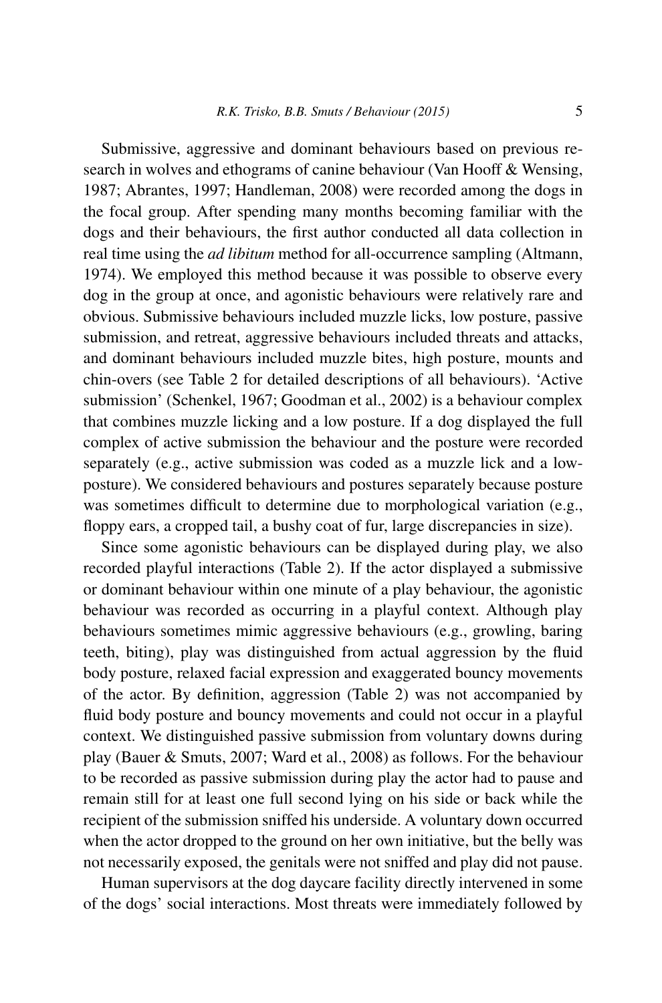Submissive, aggressive and dominant behaviours based on previous research in wolves and ethograms of canine behaviour (Van Hooff & Wensing, 1987; Abrantes, 1997; Handleman, 2008) were recorded among the dogs in the focal group. After spending many months becoming familiar with the dogs and their behaviours, the first author conducted all data collection in real time using the *ad libitum* method for all-occurrence sampling (Altmann, 1974). We employed this method because it was possible to observe every dog in the group at once, and agonistic behaviours were relatively rare and obvious. Submissive behaviours included muzzle licks, low posture, passive submission, and retreat, aggressive behaviours included threats and attacks, and dominant behaviours included muzzle bites, high posture, mounts and chin-overs (see Table 2 for detailed descriptions of all behaviours). 'Active submission' (Schenkel, 1967; Goodman et al., 2002) is a behaviour complex that combines muzzle licking and a low posture. If a dog displayed the full complex of active submission the behaviour and the posture were recorded separately (e.g., active submission was coded as a muzzle lick and a lowposture). We considered behaviours and postures separately because posture was sometimes difficult to determine due to morphological variation (e.g., floppy ears, a cropped tail, a bushy coat of fur, large discrepancies in size).

Since some agonistic behaviours can be displayed during play, we also recorded playful interactions (Table 2). If the actor displayed a submissive or dominant behaviour within one minute of a play behaviour, the agonistic behaviour was recorded as occurring in a playful context. Although play behaviours sometimes mimic aggressive behaviours (e.g., growling, baring teeth, biting), play was distinguished from actual aggression by the fluid body posture, relaxed facial expression and exaggerated bouncy movements of the actor. By definition, aggression (Table 2) was not accompanied by fluid body posture and bouncy movements and could not occur in a playful context. We distinguished passive submission from voluntary downs during play (Bauer & Smuts, 2007; Ward et al., 2008) as follows. For the behaviour to be recorded as passive submission during play the actor had to pause and remain still for at least one full second lying on his side or back while the recipient of the submission sniffed his underside. A voluntary down occurred when the actor dropped to the ground on her own initiative, but the belly was not necessarily exposed, the genitals were not sniffed and play did not pause.

Human supervisors at the dog daycare facility directly intervened in some of the dogs' social interactions. Most threats were immediately followed by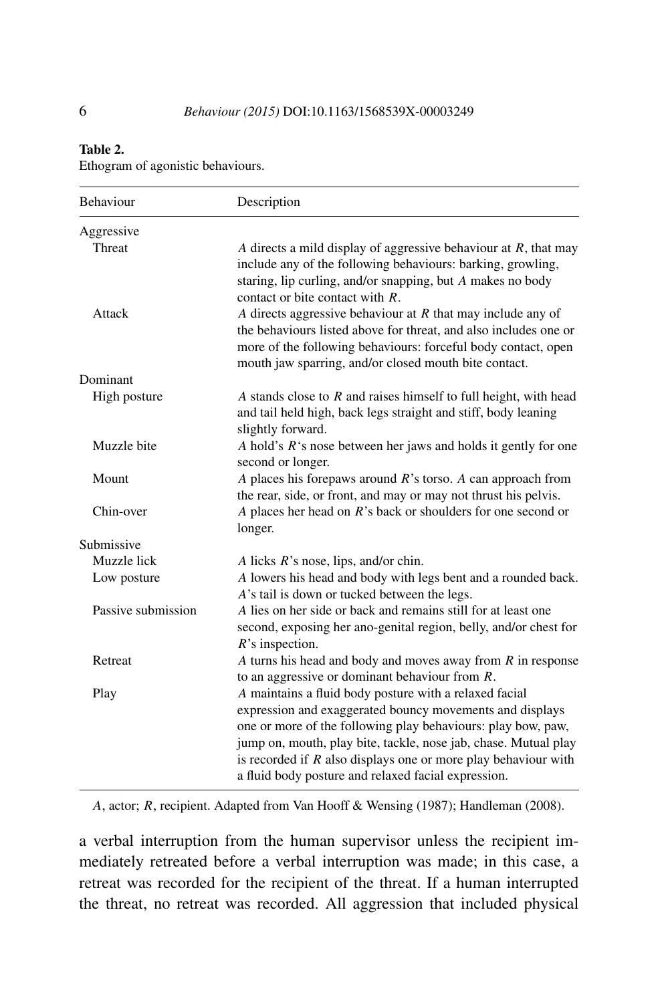#### **Table 2.**

Ethogram of agonistic behaviours.

| Behaviour          | Description                                                                                                                                                                                                                                                                                                                                                                      |
|--------------------|----------------------------------------------------------------------------------------------------------------------------------------------------------------------------------------------------------------------------------------------------------------------------------------------------------------------------------------------------------------------------------|
| Aggressive         |                                                                                                                                                                                                                                                                                                                                                                                  |
| Threat             | A directs a mild display of aggressive behaviour at $R$ , that may<br>include any of the following behaviours: barking, growling,<br>staring, lip curling, and/or snapping, but A makes no body<br>contact or bite contact with $R$ .                                                                                                                                            |
| Attack             | A directs aggressive behaviour at $R$ that may include any of<br>the behaviours listed above for threat, and also includes one or<br>more of the following behaviours: forceful body contact, open<br>mouth jaw sparring, and/or closed mouth bite contact.                                                                                                                      |
| Dominant           |                                                                                                                                                                                                                                                                                                                                                                                  |
| High posture       | A stands close to $R$ and raises himself to full height, with head<br>and tail held high, back legs straight and stiff, body leaning<br>slightly forward.                                                                                                                                                                                                                        |
| Muzzle bite        | A hold's $R$ 's nose between her jaws and holds it gently for one<br>second or longer.                                                                                                                                                                                                                                                                                           |
| Mount              | A places his forepaws around $R$ 's torso. A can approach from<br>the rear, side, or front, and may or may not thrust his pelvis.                                                                                                                                                                                                                                                |
| Chin-over          | A places her head on $R$ 's back or shoulders for one second or<br>longer.                                                                                                                                                                                                                                                                                                       |
| Submissive         |                                                                                                                                                                                                                                                                                                                                                                                  |
| Muzzle lick        | A licks $R$ 's nose, lips, and/or chin.                                                                                                                                                                                                                                                                                                                                          |
| Low posture        | A lowers his head and body with legs bent and a rounded back.<br>A's tail is down or tucked between the legs.                                                                                                                                                                                                                                                                    |
| Passive submission | A lies on her side or back and remains still for at least one<br>second, exposing her ano-genital region, belly, and/or chest for<br>$R$ 's inspection.                                                                                                                                                                                                                          |
| Retreat            | $A$ turns his head and body and moves away from $R$ in response<br>to an aggressive or dominant behaviour from $R$ .                                                                                                                                                                                                                                                             |
| Play               | A maintains a fluid body posture with a relaxed facial<br>expression and exaggerated bouncy movements and displays<br>one or more of the following play behaviours: play bow, paw,<br>jump on, mouth, play bite, tackle, nose jab, chase. Mutual play<br>is recorded if $R$ also displays one or more play behaviour with<br>a fluid body posture and relaxed facial expression. |

*A*, actor; *R*, recipient. Adapted from Van Hooff & Wensing (1987); Handleman (2008).

a verbal interruption from the human supervisor unless the recipient immediately retreated before a verbal interruption was made; in this case, a retreat was recorded for the recipient of the threat. If a human interrupted the threat, no retreat was recorded. All aggression that included physical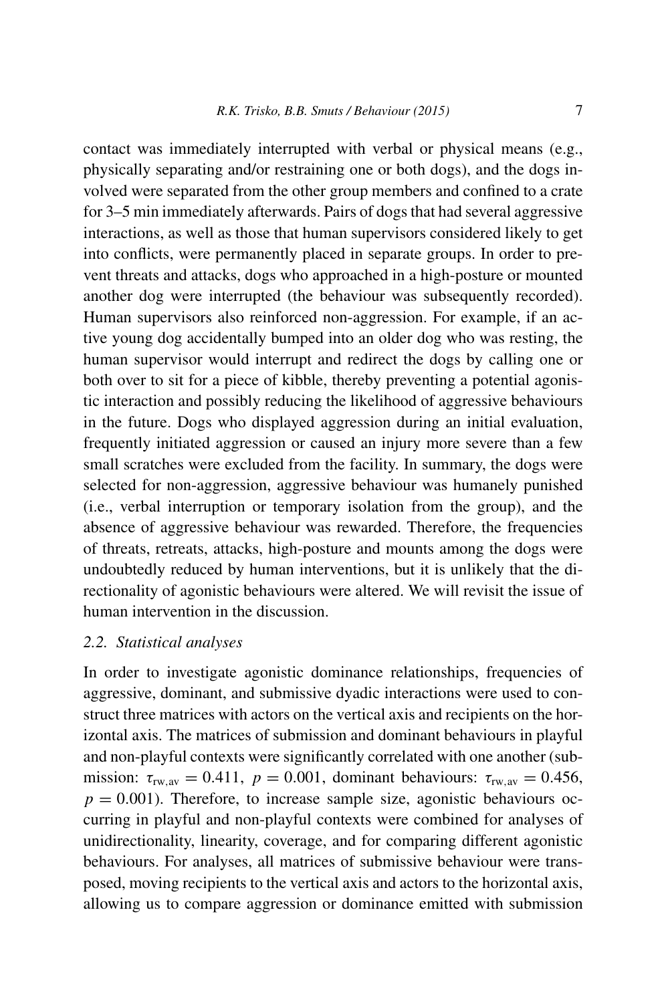contact was immediately interrupted with verbal or physical means (e.g., physically separating and/or restraining one or both dogs), and the dogs involved were separated from the other group members and confined to a crate for 3–5 min immediately afterwards. Pairs of dogs that had several aggressive interactions, as well as those that human supervisors considered likely to get into conflicts, were permanently placed in separate groups. In order to prevent threats and attacks, dogs who approached in a high-posture or mounted another dog were interrupted (the behaviour was subsequently recorded). Human supervisors also reinforced non-aggression. For example, if an active young dog accidentally bumped into an older dog who was resting, the human supervisor would interrupt and redirect the dogs by calling one or both over to sit for a piece of kibble, thereby preventing a potential agonistic interaction and possibly reducing the likelihood of aggressive behaviours in the future. Dogs who displayed aggression during an initial evaluation, frequently initiated aggression or caused an injury more severe than a few small scratches were excluded from the facility. In summary, the dogs were selected for non-aggression, aggressive behaviour was humanely punished (i.e., verbal interruption or temporary isolation from the group), and the absence of aggressive behaviour was rewarded. Therefore, the frequencies of threats, retreats, attacks, high-posture and mounts among the dogs were undoubtedly reduced by human interventions, but it is unlikely that the directionality of agonistic behaviours were altered. We will revisit the issue of human intervention in the discussion.

### *2.2. Statistical analyses*

In order to investigate agonistic dominance relationships, frequencies of aggressive, dominant, and submissive dyadic interactions were used to construct three matrices with actors on the vertical axis and recipients on the horizontal axis. The matrices of submission and dominant behaviours in playful and non-playful contexts were significantly correlated with one another (submission:  $\tau_{rw,av} = 0.411$ ,  $p = 0.001$ , dominant behaviours:  $\tau_{rw,av} = 0.456$ ,  $p = 0.001$ ). Therefore, to increase sample size, agonistic behaviours occurring in playful and non-playful contexts were combined for analyses of unidirectionality, linearity, coverage, and for comparing different agonistic behaviours. For analyses, all matrices of submissive behaviour were transposed, moving recipients to the vertical axis and actors to the horizontal axis, allowing us to compare aggression or dominance emitted with submission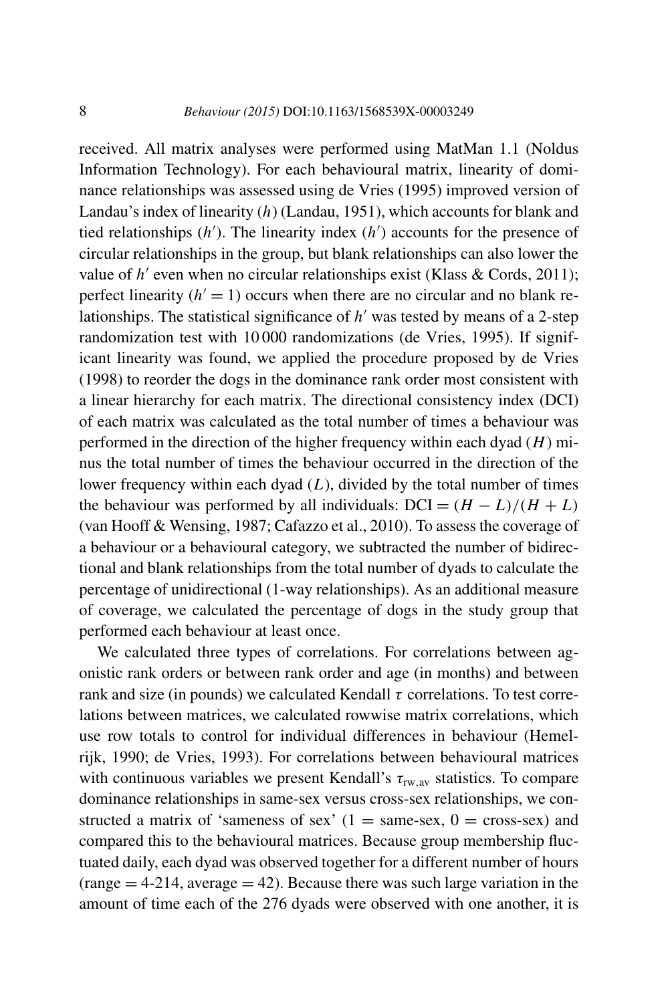received. All matrix analyses were performed using MatMan 1.1 (Noldus Information Technology). For each behavioural matrix, linearity of dominance relationships was assessed using de Vries (1995) improved version of Landau's index of linearity (*h*) (Landau, 1951), which accounts for blank and tied relationships (*h* ). The linearity index (*h* ) accounts for the presence of circular relationships in the group, but blank relationships can also lower the value of  $h'$  even when no circular relationships exist (Klass & Cords, 2011); perfect linearity  $(h' = 1)$  occurs when there are no circular and no blank relationships. The statistical significance of  $h'$  was tested by means of a 2-step randomization test with 10 000 randomizations (de Vries, 1995). If significant linearity was found, we applied the procedure proposed by de Vries (1998) to reorder the dogs in the dominance rank order most consistent with a linear hierarchy for each matrix. The directional consistency index (DCI) of each matrix was calculated as the total number of times a behaviour was performed in the direction of the higher frequency within each dyad (*H*) minus the total number of times the behaviour occurred in the direction of the lower frequency within each dyad (*L*), divided by the total number of times the behaviour was performed by all individuals:  $DCI = (H - L)/(H + L)$ (van Hooff & Wensing, 1987; Cafazzo et al., 2010). To assess the coverage of a behaviour or a behavioural category, we subtracted the number of bidirectional and blank relationships from the total number of dyads to calculate the percentage of unidirectional (1-way relationships). As an additional measure of coverage, we calculated the percentage of dogs in the study group that performed each behaviour at least once.

We calculated three types of correlations. For correlations between agonistic rank orders or between rank order and age (in months) and between rank and size (in pounds) we calculated Kendall  $\tau$  correlations. To test correlations between matrices, we calculated rowwise matrix correlations, which use row totals to control for individual differences in behaviour (Hemelrijk, 1990; de Vries, 1993). For correlations between behavioural matrices with continuous variables we present Kendall's τ<sub>rw, av</sub> statistics. To compare dominance relationships in same-sex versus cross-sex relationships, we constructed a matrix of 'sameness of sex'  $(1 = \text{same-sex}, 0 = \text{cross-sex})$  and compared this to the behavioural matrices. Because group membership fluctuated daily, each dyad was observed together for a different number of hours  $(\text{range} = 4-214, \text{average} = 42)$ . Because there was such large variation in the amount of time each of the 276 dyads were observed with one another, it is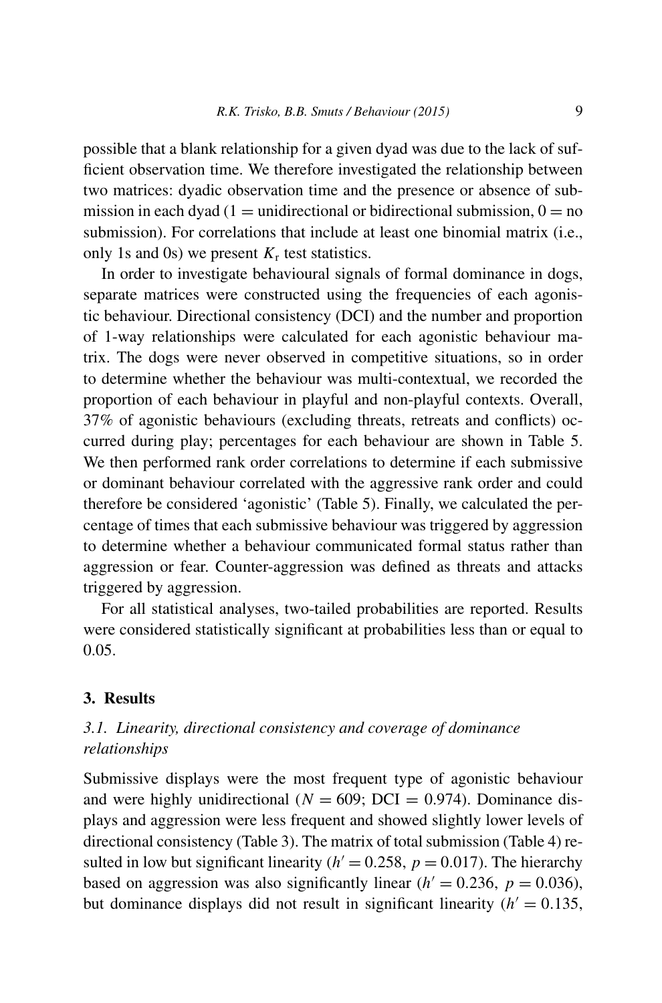possible that a blank relationship for a given dyad was due to the lack of sufficient observation time. We therefore investigated the relationship between two matrices: dyadic observation time and the presence or absence of submission in each dyad (1 = unidirectional or bidirectional submission,  $0 = no$ submission). For correlations that include at least one binomial matrix (i.e., only 1s and 0s) we present  $K_r$  test statistics.

In order to investigate behavioural signals of formal dominance in dogs, separate matrices were constructed using the frequencies of each agonistic behaviour. Directional consistency (DCI) and the number and proportion of 1-way relationships were calculated for each agonistic behaviour matrix. The dogs were never observed in competitive situations, so in order to determine whether the behaviour was multi-contextual, we recorded the proportion of each behaviour in playful and non-playful contexts. Overall, 37% of agonistic behaviours (excluding threats, retreats and conflicts) occurred during play; percentages for each behaviour are shown in Table 5. We then performed rank order correlations to determine if each submissive or dominant behaviour correlated with the aggressive rank order and could therefore be considered 'agonistic' (Table 5). Finally, we calculated the percentage of times that each submissive behaviour was triggered by aggression to determine whether a behaviour communicated formal status rather than aggression or fear. Counter-aggression was defined as threats and attacks triggered by aggression.

For all statistical analyses, two-tailed probabilities are reported. Results were considered statistically significant at probabilities less than or equal to 0.05.

# **3. Results**

# *3.1. Linearity, directional consistency and coverage of dominance relationships*

Submissive displays were the most frequent type of agonistic behaviour and were highly unidirectional ( $N = 609$ ; DCI = 0.974). Dominance displays and aggression were less frequent and showed slightly lower levels of directional consistency (Table 3). The matrix of total submission (Table 4) resulted in low but significant linearity ( $h' = 0.258$ ,  $p = 0.017$ ). The hierarchy based on aggression was also significantly linear  $(h' = 0.236, p = 0.036)$ , but dominance displays did not result in significant linearity  $(h' = 0.135,$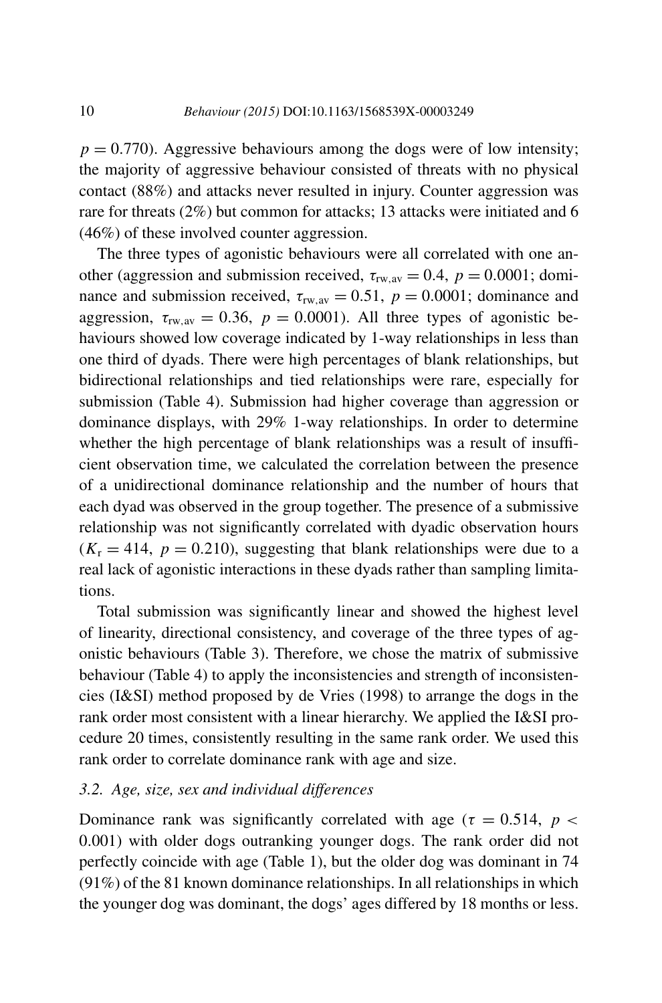$p = 0.770$ . Aggressive behaviours among the dogs were of low intensity; the majority of aggressive behaviour consisted of threats with no physical contact (88%) and attacks never resulted in injury. Counter aggression was rare for threats (2%) but common for attacks; 13 attacks were initiated and 6 (46%) of these involved counter aggression.

The three types of agonistic behaviours were all correlated with one another (aggression and submission received,  $\tau_{rw,av} = 0.4$ ,  $p = 0.0001$ ; dominance and submission received,  $\tau_{rw,av} = 0.51$ ,  $p = 0.0001$ ; dominance and aggression,  $\tau_{rw,av} = 0.36$ ,  $p = 0.0001$ ). All three types of agonistic behaviours showed low coverage indicated by 1-way relationships in less than one third of dyads. There were high percentages of blank relationships, but bidirectional relationships and tied relationships were rare, especially for submission (Table 4). Submission had higher coverage than aggression or dominance displays, with 29% 1-way relationships. In order to determine whether the high percentage of blank relationships was a result of insufficient observation time, we calculated the correlation between the presence of a unidirectional dominance relationship and the number of hours that each dyad was observed in the group together. The presence of a submissive relationship was not significantly correlated with dyadic observation hours  $(K_r = 414, p = 0.210)$ , suggesting that blank relationships were due to a real lack of agonistic interactions in these dyads rather than sampling limitations.

Total submission was significantly linear and showed the highest level of linearity, directional consistency, and coverage of the three types of agonistic behaviours (Table 3). Therefore, we chose the matrix of submissive behaviour (Table 4) to apply the inconsistencies and strength of inconsistencies (I&SI) method proposed by de Vries (1998) to arrange the dogs in the rank order most consistent with a linear hierarchy. We applied the I&SI procedure 20 times, consistently resulting in the same rank order. We used this rank order to correlate dominance rank with age and size.

### *3.2. Age, size, sex and individual differences*

Dominance rank was significantly correlated with age ( $\tau = 0.514$ ,  $p <$ 0*.*001) with older dogs outranking younger dogs. The rank order did not perfectly coincide with age (Table 1), but the older dog was dominant in 74 (91%) of the 81 known dominance relationships. In all relationships in which the younger dog was dominant, the dogs' ages differed by 18 months or less.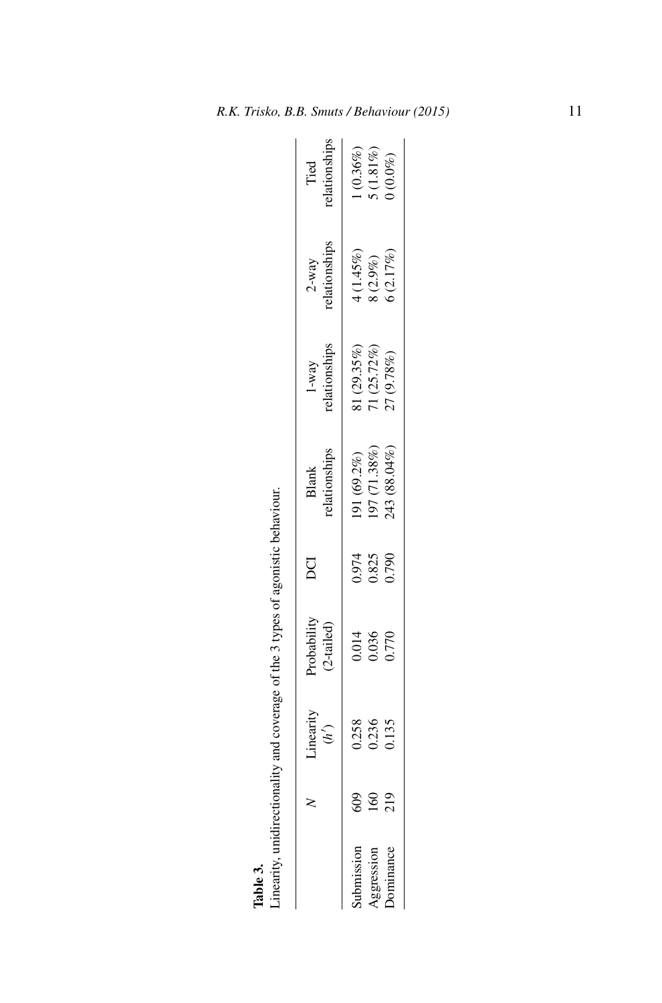| Linearity, unidirectionality and coverage of the 3 types of agonistic behaviour. |                         |                              |                         |                                            |                                            |                                     |                                        |
|----------------------------------------------------------------------------------|-------------------------|------------------------------|-------------------------|--------------------------------------------|--------------------------------------------|-------------------------------------|----------------------------------------|
|                                                                                  | Linearity<br>(h')       | Probability<br>$(2$ -tailed) | g                       | relationships<br>Blank                     | relationships<br>$1-way$                   | $2-way$<br>relationships            | relationships<br>Tied                  |
| Aggression<br>Submission<br>Dominance                                            | 0.258<br>0.135<br>0.236 | 0.014<br>036<br>0.770        | 0.974<br>2.825<br>0.790 | (43 (88.04%)<br>97 (71.38%)<br>(91 (69.2%) | $(29.35\%)$<br>$71(25.72\%)$<br>27 (9.78%) | (2.17%)<br>$4(1.45%)$<br>8 $(2.9%)$ | $(0.36\%)$<br>$5(1.81\%)$<br>$(0.0\%)$ |

Table 3.<br>Linearity, unidirectionality and coverage of the 3 types of agonistic behaviour.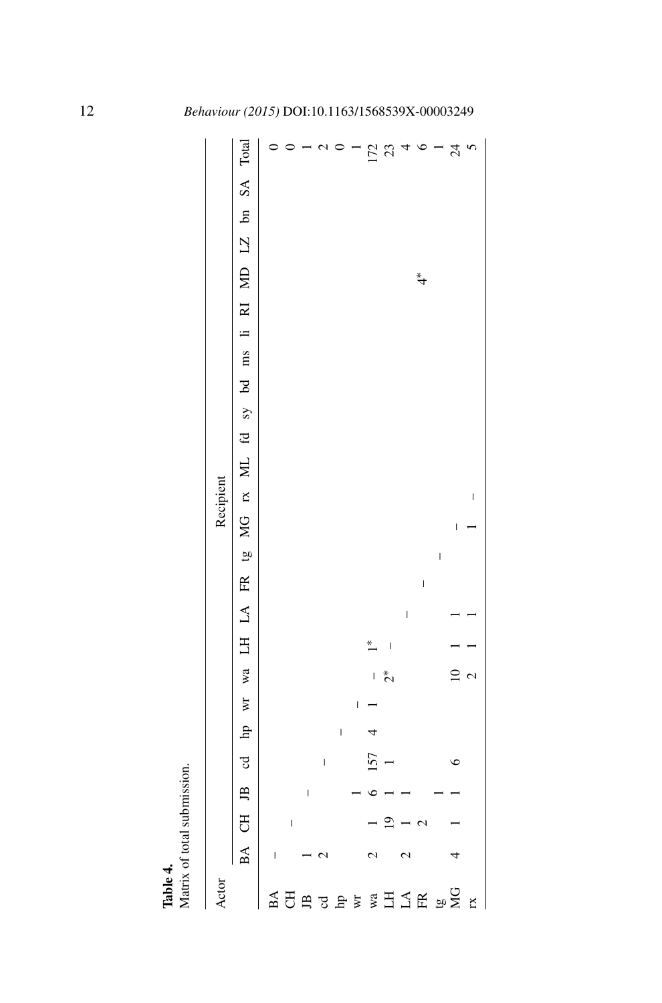| Table 4.                    |                   |                          |   |                          |   |                          |              |                          |              |                          |                          |   |              |  |  |  |            |  |                                                                               |
|-----------------------------|-------------------|--------------------------|---|--------------------------|---|--------------------------|--------------|--------------------------|--------------|--------------------------|--------------------------|---|--------------|--|--|--|------------|--|-------------------------------------------------------------------------------|
| Matrix of total submission. |                   |                          |   |                          |   |                          |              |                          |              |                          |                          |   |              |  |  |  |            |  |                                                                               |
| Actor                       |                   |                          |   |                          |   |                          |              |                          |              |                          |                          |   | Recipient    |  |  |  |            |  |                                                                               |
|                             |                   |                          |   |                          |   |                          |              |                          |              |                          |                          |   |              |  |  |  |            |  | BA CH JB od hp wr wa LH LA FR tg MG rx ML fd sy bd ms li RI MD LZ bn SA Total |
| BA                          | I                 |                          |   |                          |   |                          |              |                          |              |                          |                          |   |              |  |  |  |            |  |                                                                               |
| F                           |                   | $\overline{\phantom{a}}$ |   |                          |   |                          |              |                          |              |                          |                          |   |              |  |  |  |            |  |                                                                               |
| $\mathbf{B}$                |                   |                          | l |                          |   |                          |              |                          |              |                          |                          |   |              |  |  |  |            |  |                                                                               |
| J                           | $\mathcal{L}$     |                          |   | $\overline{\phantom{a}}$ |   |                          |              |                          |              |                          |                          |   |              |  |  |  |            |  |                                                                               |
| $\mathbf{p}$                |                   |                          |   |                          | l |                          |              |                          |              |                          |                          |   |              |  |  |  |            |  |                                                                               |
| Wľ                          |                   |                          |   |                          |   | $\overline{\phantom{a}}$ |              |                          |              |                          |                          |   |              |  |  |  |            |  |                                                                               |
| wa                          | 2                 |                          |   | 157                      |   |                          | $\mathbf{I}$ |                          |              |                          |                          |   |              |  |  |  |            |  |                                                                               |
| $\Xi$                       |                   | $\overline{0}$           |   |                          |   |                          | $\tilde{c}$  | $\overline{\phantom{a}}$ |              |                          |                          |   |              |  |  |  |            |  | 172<br>23                                                                     |
| $\Gamma \forall$            | $\mathbf{\Omega}$ |                          |   |                          |   |                          |              |                          | $\mathsf{I}$ |                          |                          |   |              |  |  |  |            |  |                                                                               |
| $\mathbb{R}$                |                   |                          |   |                          |   |                          |              |                          |              | $\overline{\phantom{a}}$ |                          |   |              |  |  |  | $\ddot{ }$ |  | $\circ$                                                                       |
|                             |                   |                          |   |                          |   |                          |              |                          |              |                          | $\overline{\phantom{a}}$ |   |              |  |  |  |            |  |                                                                               |
| $\frac{5}{26}$              |                   |                          |   | c                        |   |                          |              |                          |              |                          |                          | I |              |  |  |  |            |  | $\overline{24}$                                                               |
| <b>IX</b>                   |                   |                          |   |                          |   |                          |              |                          |              |                          |                          |   | $\mathsf{I}$ |  |  |  |            |  | $\overline{6}$                                                                |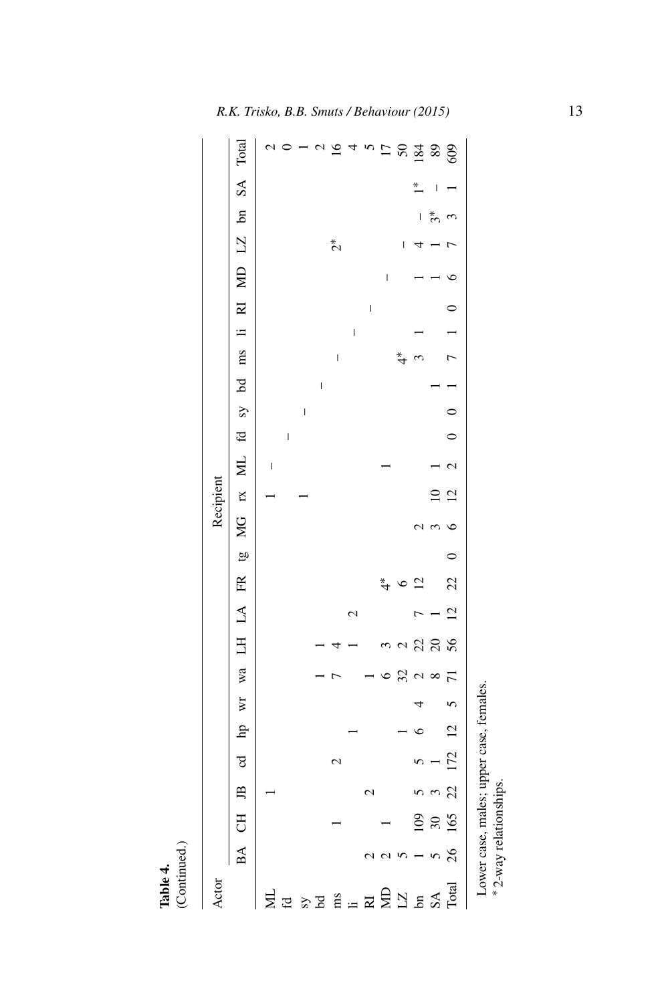|           |                                        |                          |                          |                          |                          |                          |                          |                          | $\overline{17}$ |                          | $8\frac{3}{2}$ 8                          |                          | 609                      |
|-----------|----------------------------------------|--------------------------|--------------------------|--------------------------|--------------------------|--------------------------|--------------------------|--------------------------|-----------------|--------------------------|-------------------------------------------|--------------------------|--------------------------|
|           | MD LZ bn SA Total                      |                          |                          |                          |                          |                          |                          |                          |                 |                          | $\overline{a}$                            | I                        |                          |
|           |                                        |                          |                          |                          |                          |                          |                          |                          |                 |                          | $\overline{\phantom{a}}$                  | $\boldsymbol{\hat{z}}^*$ | 3                        |
|           |                                        |                          |                          |                          |                          | $\tilde{c}$              |                          |                          |                 | $\overline{\phantom{a}}$ |                                           |                          |                          |
|           |                                        |                          |                          |                          |                          |                          |                          |                          |                 |                          |                                           |                          |                          |
|           |                                        |                          |                          |                          |                          |                          |                          |                          | I               |                          |                                           |                          |                          |
|           |                                        |                          |                          |                          |                          |                          |                          | $\overline{\phantom{a}}$ |                 |                          |                                           |                          | $\circ$                  |
|           |                                        |                          |                          |                          |                          |                          | $\overline{\phantom{a}}$ |                          |                 |                          |                                           |                          |                          |
|           |                                        |                          |                          |                          |                          | $\overline{\phantom{a}}$ |                          |                          |                 |                          |                                           |                          | $\overline{7}$           |
|           |                                        |                          |                          |                          | $\overline{\phantom{a}}$ |                          |                          |                          |                 |                          |                                           |                          |                          |
|           |                                        |                          |                          | $\overline{\phantom{a}}$ |                          |                          |                          |                          |                 |                          |                                           |                          | 0                        |
|           |                                        |                          | $\overline{\phantom{a}}$ |                          |                          |                          |                          |                          |                 |                          |                                           |                          |                          |
|           | ML fd sy bd ms li RI                   | $\overline{\phantom{a}}$ |                          |                          |                          |                          |                          |                          |                 |                          |                                           |                          | $\overline{\mathcal{C}}$ |
| Recipient |                                        |                          |                          |                          |                          |                          |                          |                          |                 |                          |                                           | $\supseteq$              | $\overline{c}$           |
|           |                                        |                          |                          |                          |                          |                          |                          |                          |                 |                          | $\epsilon$<br>1                           | 3                        | $\circ$                  |
|           |                                        |                          |                          |                          |                          |                          |                          |                          |                 |                          |                                           |                          | $\circ$                  |
|           |                                        |                          |                          |                          |                          |                          |                          |                          |                 |                          | $\overline{2}$                            |                          | 22                       |
|           |                                        |                          |                          |                          |                          |                          | $\mathrel{\sim}$         |                          |                 |                          |                                           |                          | $\overline{5}$           |
|           |                                        |                          |                          |                          |                          |                          |                          |                          |                 |                          | 22                                        | $\Omega$                 | 56                       |
|           |                                        |                          |                          |                          |                          |                          |                          |                          |                 | 32                       | $\mathbf{C}$                              | $\infty$                 |                          |
|           |                                        |                          |                          |                          |                          |                          |                          |                          |                 |                          |                                           |                          | $\mathbf 5$              |
|           |                                        |                          |                          |                          |                          |                          |                          |                          |                 |                          |                                           |                          | $\overline{5}$           |
|           |                                        |                          |                          |                          |                          | 2                        |                          |                          |                 |                          |                                           |                          | 172                      |
|           |                                        |                          |                          |                          |                          |                          |                          | c                        |                 |                          |                                           | $\mathfrak{c}$           | 22                       |
|           |                                        |                          |                          |                          |                          |                          |                          |                          |                 |                          | 109                                       | $30\,$                   | 165                      |
|           | BA CH JB od hp wr wa LH LA FR tg MG rx |                          |                          |                          |                          |                          |                          |                          |                 |                          |                                           |                          | 26                       |
| Actor     |                                        | Σ                        | $\mathbf{f}$             |                          | $^{57}$                  | ms                       | $\equiv$                 | $\mathbb R$              |                 |                          | $\frac{5}{2}$ $\frac{1}{2}$ $\frac{5}{2}$ | $S\mathbf{A}$            | Total                    |

Lower case, males; upper case, females. Lower case, males; upper case, females.<br>\*2-way relationships. 2-way relationships.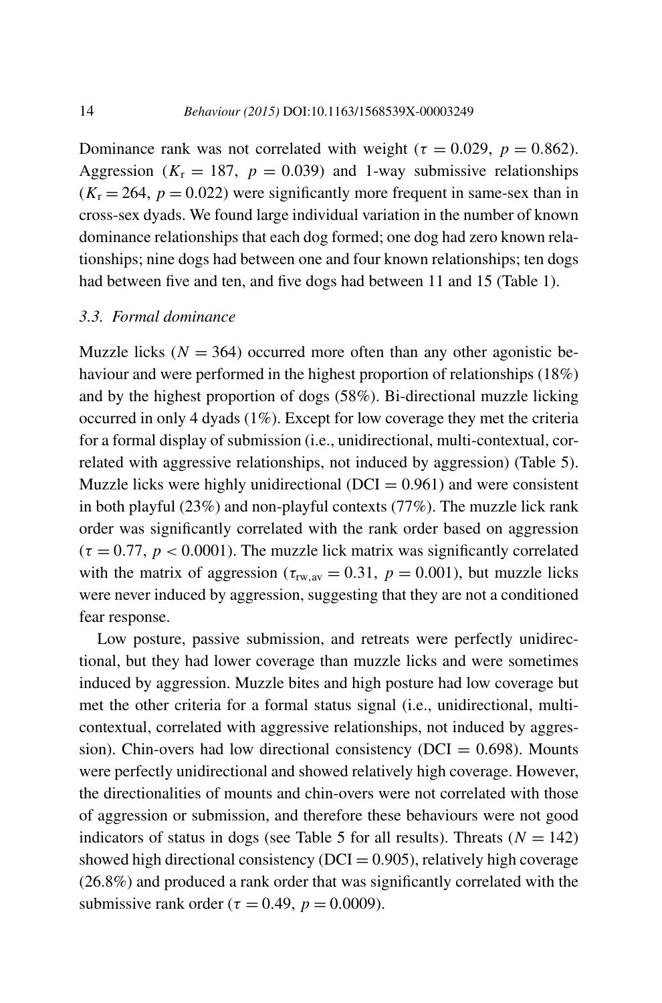Dominance rank was not correlated with weight ( $\tau = 0.029$ ,  $p = 0.862$ ). Aggression ( $K_r = 187$ ,  $p = 0.039$ ) and 1-way submissive relationships  $(K_r = 264, p = 0.022)$  were significantly more frequent in same-sex than in cross-sex dyads. We found large individual variation in the number of known dominance relationships that each dog formed; one dog had zero known relationships; nine dogs had between one and four known relationships; ten dogs had between five and ten, and five dogs had between 11 and 15 (Table 1).

#### *3.3. Formal dominance*

Muzzle licks  $(N = 364)$  occurred more often than any other agonistic behaviour and were performed in the highest proportion of relationships (18%) and by the highest proportion of dogs (58%). Bi-directional muzzle licking occurred in only 4 dyads (1%). Except for low coverage they met the criteria for a formal display of submission (i.e., unidirectional, multi-contextual, correlated with aggressive relationships, not induced by aggression) (Table 5). Muzzle licks were highly unidirectional ( $DCI = 0.961$ ) and were consistent in both playful (23%) and non-playful contexts (77%). The muzzle lick rank order was significantly correlated with the rank order based on aggression  $(\tau = 0.77, p < 0.0001)$ . The muzzle lick matrix was significantly correlated with the matrix of aggression ( $\tau_{rw,av} = 0.31$ ,  $p = 0.001$ ), but muzzle licks were never induced by aggression, suggesting that they are not a conditioned fear response.

Low posture, passive submission, and retreats were perfectly unidirectional, but they had lower coverage than muzzle licks and were sometimes induced by aggression. Muzzle bites and high posture had low coverage but met the other criteria for a formal status signal (i.e., unidirectional, multicontextual, correlated with aggressive relationships, not induced by aggression). Chin-overs had low directional consistency ( $DCI = 0.698$ ). Mounts were perfectly unidirectional and showed relatively high coverage. However, the directionalities of mounts and chin-overs were not correlated with those of aggression or submission, and therefore these behaviours were not good indicators of status in dogs (see Table 5 for all results). Threats  $(N = 142)$ showed high directional consistency ( $DCI = 0.905$ ), relatively high coverage (26.8%) and produced a rank order that was significantly correlated with the submissive rank order ( $\tau = 0.49$ ,  $p = 0.0009$ ).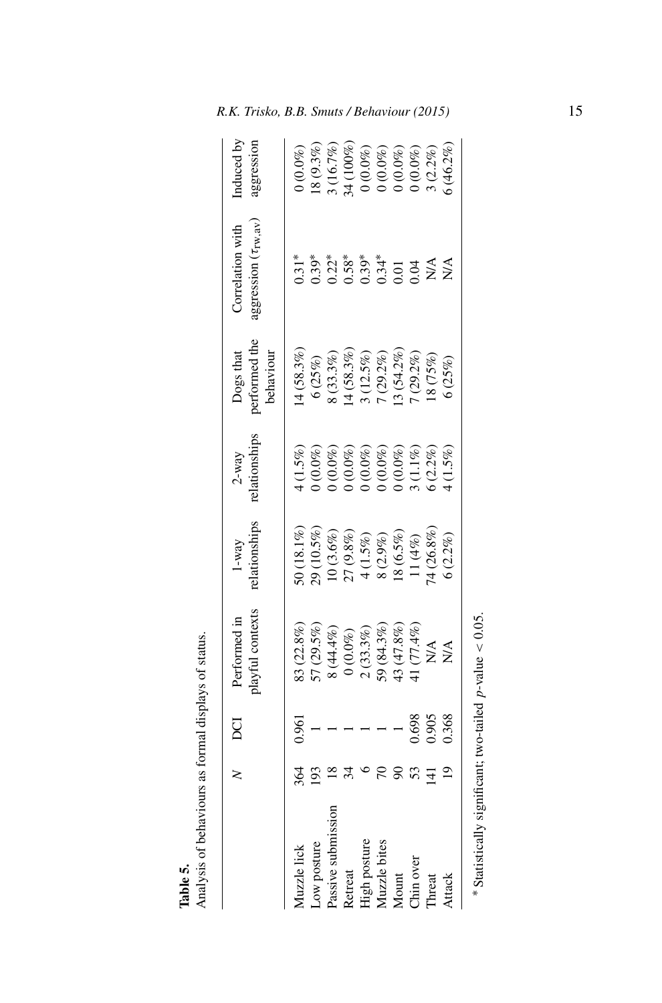|              | DCI              | layful contexts<br>Performed in                                                                                                                                                                                                                                                                                                    | <b>Mationships</b><br>$1-way$                                                                    | 2-way<br>elationships                                                                                                                                    | Dogs that<br>performed the<br>behaviour                                                                            | ggression (Trw, av<br>Correlation with                                                                                | nduced by<br>iggression                                                                                                                                                  |
|--------------|------------------|------------------------------------------------------------------------------------------------------------------------------------------------------------------------------------------------------------------------------------------------------------------------------------------------------------------------------------|--------------------------------------------------------------------------------------------------|----------------------------------------------------------------------------------------------------------------------------------------------------------|--------------------------------------------------------------------------------------------------------------------|-----------------------------------------------------------------------------------------------------------------------|--------------------------------------------------------------------------------------------------------------------------------------------------------------------------|
| Muzzle lick  |                  | 3(22.8%                                                                                                                                                                                                                                                                                                                            |                                                                                                  |                                                                                                                                                          | 4(58.3%                                                                                                            |                                                                                                                       |                                                                                                                                                                          |
| Low posture  |                  |                                                                                                                                                                                                                                                                                                                                    |                                                                                                  |                                                                                                                                                          |                                                                                                                    |                                                                                                                       |                                                                                                                                                                          |
| Passive s    |                  |                                                                                                                                                                                                                                                                                                                                    |                                                                                                  |                                                                                                                                                          |                                                                                                                    |                                                                                                                       |                                                                                                                                                                          |
| Retreat      |                  |                                                                                                                                                                                                                                                                                                                                    |                                                                                                  |                                                                                                                                                          |                                                                                                                    |                                                                                                                       |                                                                                                                                                                          |
| High posture |                  |                                                                                                                                                                                                                                                                                                                                    |                                                                                                  |                                                                                                                                                          |                                                                                                                    |                                                                                                                       |                                                                                                                                                                          |
| Muzzle bite  |                  |                                                                                                                                                                                                                                                                                                                                    |                                                                                                  |                                                                                                                                                          |                                                                                                                    |                                                                                                                       |                                                                                                                                                                          |
| Mount        |                  | $\begin{array}{l} 77 \ (29.5\%) \\ 8 \ (44.4\%) \\ 0 \ (0.0\%) \\ 0 \ (0.3\%) \\ 2 \ (33.3\%) \\ 9 \ (84.3\%) \\ 13 \ (47.8\%) \\ 13 \ (47.8\%) \\ 14 \ (71.4\%) \\ 15 \ (71.4\%) \\ 16 \ (71.4\%) \\ 17 \ (71.4\%) \\ 18 \ (71.4\%) \\ 19 \ (71.4\%) \\ 10 \ (71.4\%) \\ 11 \ (71.4\%) \\ 14 \ (71.4\%) \\ 15 \ (71.4\%) \\ 16 \$ | 50 (18.1%)<br>29 (10.5%)<br>10 (3.6%)<br>27 (9.8%)<br>4 (1.5%)<br>4 (3.5%)<br>11 (4%)<br>11 (4%) | $(1.5\%)$<br>$(0.0\%)$<br>$(0.0\%)$<br>$(0.0\%)$<br>$(0.0\%)$<br>$(0.0\%)$<br>$(0.0\%)$<br>$(0.0\%)$<br>$(0.0\%)$<br>$(0.0\%)$<br>$(0.0\%)$<br>$(0.0\%)$ | $6 (25%)$<br>$8 (33.3%)$<br>$4 (58.3%)$<br>$1 (25.5%)$<br>$7 (29.2%)$<br>$3 (54.2%)$<br>$7 (29.2%)$<br>$1 (29.2%)$ | $\begin{array}{l} 3.1^* \\ 3.9^* \\ 0.2^* \\ 0.5^* \\ 0.5^* \\ 0.03^* \\ 0.03 \\ 0.00 \\ 0.00 \\ 0.00 \\ \end{array}$ | $0$ $(0.0\%)$<br>$18$ $(9.3\%)$<br>$34$ $(100\%)$<br>$0$ $(0.0\%)$<br>$0$ $(0.0\%)$<br>$0$ $(0.0\%)$<br>$0$ $(0.0\%)$<br>$0$ $(0.0\%)$<br>$1$ $(2.2\%)$<br>$3$ $(2.2\%)$ |
| Chin over    | 0.698            |                                                                                                                                                                                                                                                                                                                                    |                                                                                                  |                                                                                                                                                          |                                                                                                                    |                                                                                                                       |                                                                                                                                                                          |
| Threat       | 000 <sub>1</sub> |                                                                                                                                                                                                                                                                                                                                    |                                                                                                  |                                                                                                                                                          |                                                                                                                    | NA<br>NA                                                                                                              |                                                                                                                                                                          |
| Attack       | .368             |                                                                                                                                                                                                                                                                                                                                    | 5(2.2%)                                                                                          |                                                                                                                                                          | (25%)                                                                                                              |                                                                                                                       |                                                                                                                                                                          |
|              |                  |                                                                                                                                                                                                                                                                                                                                    |                                                                                                  |                                                                                                                                                          |                                                                                                                    |                                                                                                                       |                                                                                                                                                                          |

**Table 5.** Check the Boston Commander States Analysis of status. Analysis of behaviours as formal displays of status.

\* Statistically significant; two-tailed  $p$ -value < 0.05. Statistically significant; two-tailed *p*-value *<* 0.05.

*R.K. Trisko, B.B. Smuts / Behaviour (2015)* 15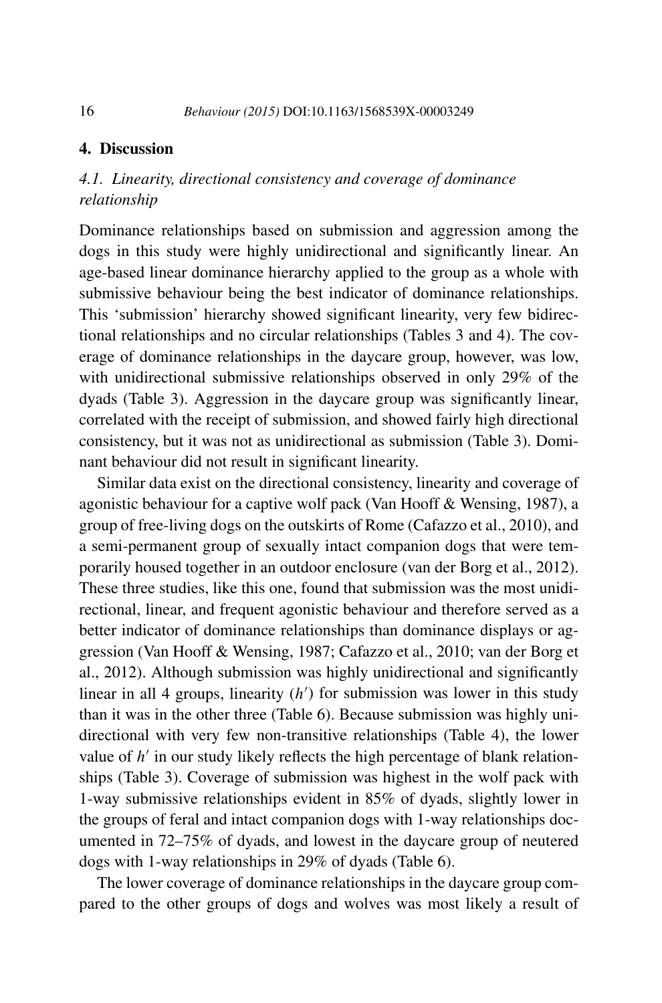# **4. Discussion**

# *4.1. Linearity, directional consistency and coverage of dominance relationship*

Dominance relationships based on submission and aggression among the dogs in this study were highly unidirectional and significantly linear. An age-based linear dominance hierarchy applied to the group as a whole with submissive behaviour being the best indicator of dominance relationships. This 'submission' hierarchy showed significant linearity, very few bidirectional relationships and no circular relationships (Tables 3 and 4). The coverage of dominance relationships in the daycare group, however, was low, with unidirectional submissive relationships observed in only 29% of the dyads (Table 3). Aggression in the daycare group was significantly linear, correlated with the receipt of submission, and showed fairly high directional consistency, but it was not as unidirectional as submission (Table 3). Dominant behaviour did not result in significant linearity.

Similar data exist on the directional consistency, linearity and coverage of agonistic behaviour for a captive wolf pack (Van Hooff & Wensing, 1987), a group of free-living dogs on the outskirts of Rome (Cafazzo et al., 2010), and a semi-permanent group of sexually intact companion dogs that were temporarily housed together in an outdoor enclosure (van der Borg et al., 2012). These three studies, like this one, found that submission was the most unidirectional, linear, and frequent agonistic behaviour and therefore served as a better indicator of dominance relationships than dominance displays or aggression (Van Hooff & Wensing, 1987; Cafazzo et al., 2010; van der Borg et al., 2012). Although submission was highly unidirectional and significantly linear in all 4 groups, linearity (*h* ) for submission was lower in this study than it was in the other three (Table 6). Because submission was highly unidirectional with very few non-transitive relationships (Table 4), the lower value of  $h'$  in our study likely reflects the high percentage of blank relationships (Table 3). Coverage of submission was highest in the wolf pack with 1-way submissive relationships evident in 85% of dyads, slightly lower in the groups of feral and intact companion dogs with 1-way relationships documented in 72–75% of dyads, and lowest in the daycare group of neutered dogs with 1-way relationships in 29% of dyads (Table 6).

The lower coverage of dominance relationships in the daycare group compared to the other groups of dogs and wolves was most likely a result of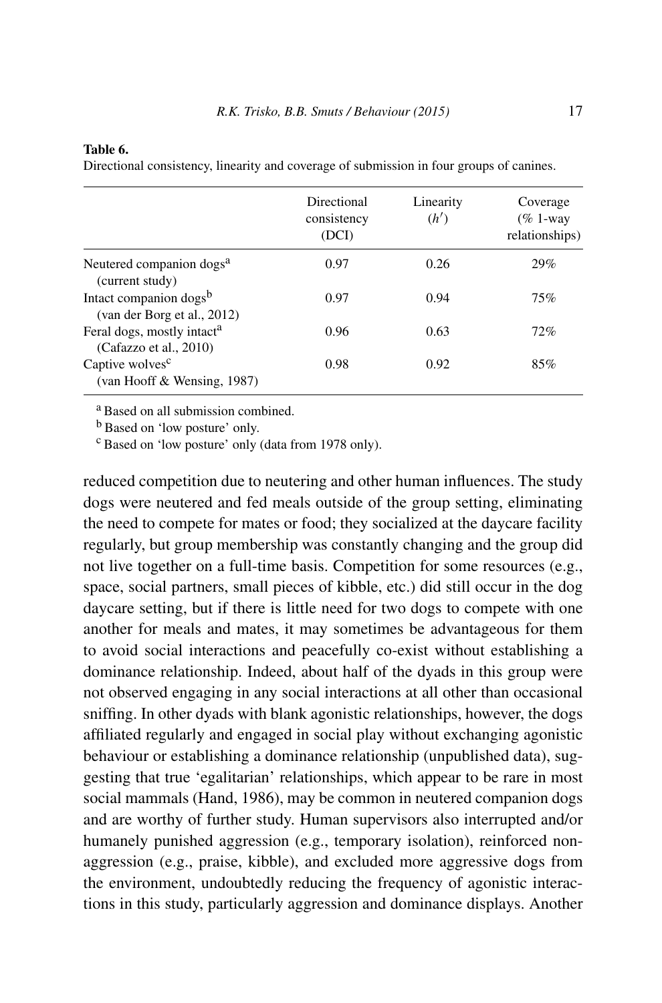#### **Table 6.**

Directional consistency, linearity and coverage of submission in four groups of canines.

|                                                                   | Directional<br>consistency<br>(DCI) | Linearity<br>(h') | Coverage<br>$(\% 1$ -way<br>relationships) |
|-------------------------------------------------------------------|-------------------------------------|-------------------|--------------------------------------------|
| Neutered companion dogs <sup>a</sup><br>(current study)           | 0.97                                | 0.26              | 29%                                        |
| Intact companion dogs <sup>b</sup><br>(van der Borg et al., 2012) | 0.97                                | 0.94              | 75%                                        |
| Feral dogs, mostly intact <sup>a</sup><br>(Cafazzo et al., 2010)  | 0.96                                | 0.63              | 72%                                        |
| Captive wolves <sup>c</sup><br>(van Hooff & Wensing, 1987)        | 0.98                                | 0.92              | 85%                                        |

<sup>a</sup> Based on all submission combined.

<sup>b</sup> Based on 'low posture' only.

<sup>c</sup> Based on 'low posture' only (data from 1978 only).

reduced competition due to neutering and other human influences. The study dogs were neutered and fed meals outside of the group setting, eliminating the need to compete for mates or food; they socialized at the daycare facility regularly, but group membership was constantly changing and the group did not live together on a full-time basis. Competition for some resources (e.g., space, social partners, small pieces of kibble, etc.) did still occur in the dog daycare setting, but if there is little need for two dogs to compete with one another for meals and mates, it may sometimes be advantageous for them to avoid social interactions and peacefully co-exist without establishing a dominance relationship. Indeed, about half of the dyads in this group were not observed engaging in any social interactions at all other than occasional sniffing. In other dyads with blank agonistic relationships, however, the dogs affiliated regularly and engaged in social play without exchanging agonistic behaviour or establishing a dominance relationship (unpublished data), suggesting that true 'egalitarian' relationships, which appear to be rare in most social mammals (Hand, 1986), may be common in neutered companion dogs and are worthy of further study. Human supervisors also interrupted and/or humanely punished aggression (e.g., temporary isolation), reinforced nonaggression (e.g., praise, kibble), and excluded more aggressive dogs from the environment, undoubtedly reducing the frequency of agonistic interactions in this study, particularly aggression and dominance displays. Another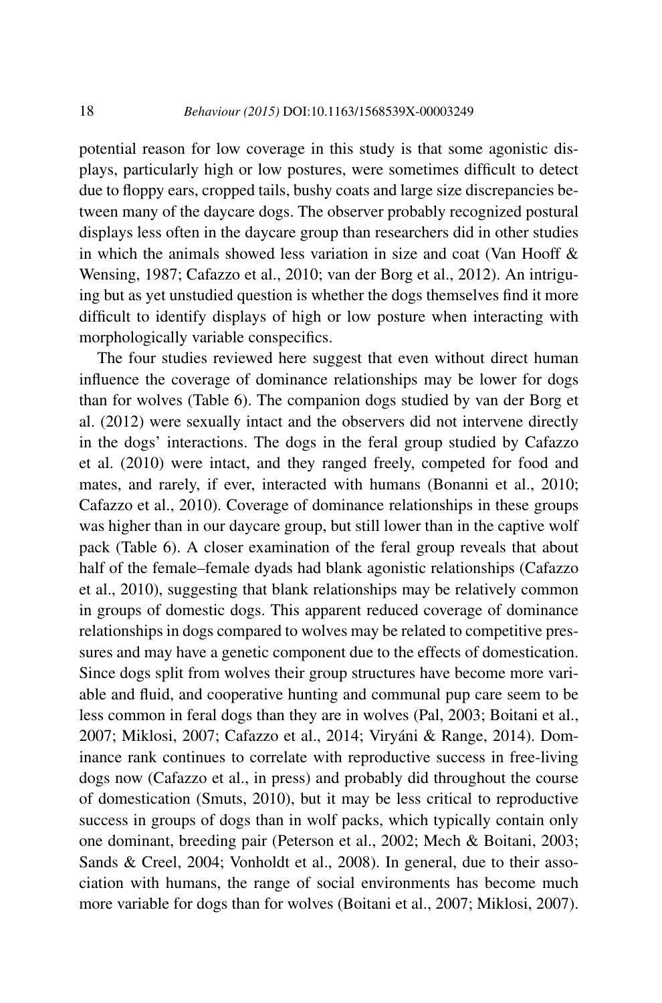potential reason for low coverage in this study is that some agonistic displays, particularly high or low postures, were sometimes difficult to detect due to floppy ears, cropped tails, bushy coats and large size discrepancies between many of the daycare dogs. The observer probably recognized postural displays less often in the daycare group than researchers did in other studies in which the animals showed less variation in size and coat (Van Hooff & Wensing, 1987; Cafazzo et al., 2010; van der Borg et al., 2012). An intriguing but as yet unstudied question is whether the dogs themselves find it more difficult to identify displays of high or low posture when interacting with morphologically variable conspecifics.

The four studies reviewed here suggest that even without direct human influence the coverage of dominance relationships may be lower for dogs than for wolves (Table 6). The companion dogs studied by van der Borg et al. (2012) were sexually intact and the observers did not intervene directly in the dogs' interactions. The dogs in the feral group studied by Cafazzo et al. (2010) were intact, and they ranged freely, competed for food and mates, and rarely, if ever, interacted with humans (Bonanni et al., 2010; Cafazzo et al., 2010). Coverage of dominance relationships in these groups was higher than in our daycare group, but still lower than in the captive wolf pack (Table 6). A closer examination of the feral group reveals that about half of the female–female dyads had blank agonistic relationships (Cafazzo et al., 2010), suggesting that blank relationships may be relatively common in groups of domestic dogs. This apparent reduced coverage of dominance relationships in dogs compared to wolves may be related to competitive pressures and may have a genetic component due to the effects of domestication. Since dogs split from wolves their group structures have become more variable and fluid, and cooperative hunting and communal pup care seem to be less common in feral dogs than they are in wolves (Pal, 2003; Boitani et al., 2007; Miklosi, 2007; Cafazzo et al., 2014; Viryáni & Range, 2014). Dominance rank continues to correlate with reproductive success in free-living dogs now (Cafazzo et al., in press) and probably did throughout the course of domestication (Smuts, 2010), but it may be less critical to reproductive success in groups of dogs than in wolf packs, which typically contain only one dominant, breeding pair (Peterson et al., 2002; Mech & Boitani, 2003; Sands & Creel, 2004; Vonholdt et al., 2008). In general, due to their association with humans, the range of social environments has become much more variable for dogs than for wolves (Boitani et al., 2007; Miklosi, 2007).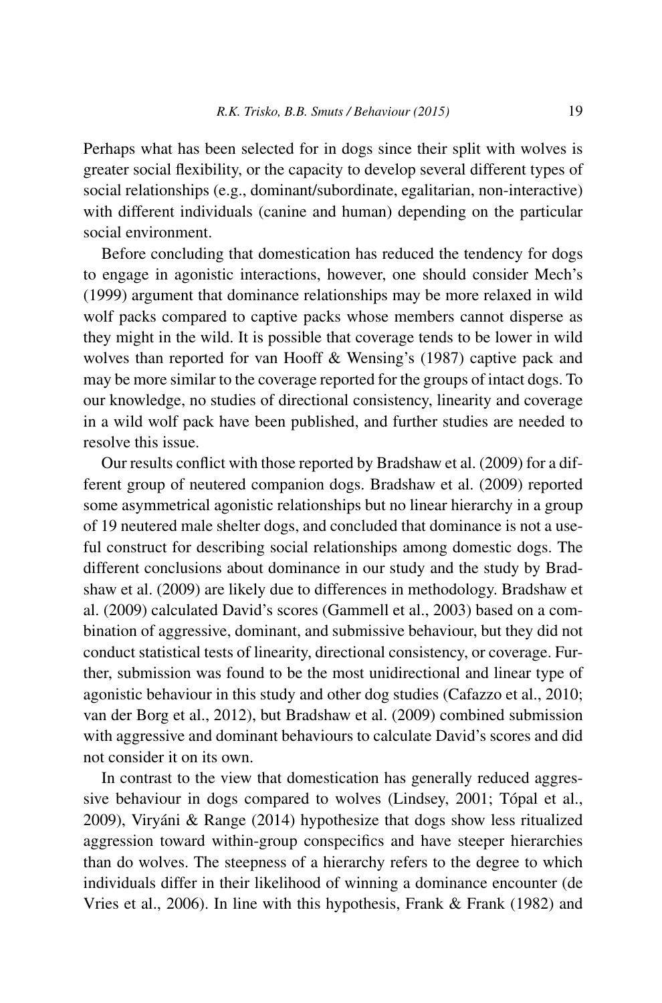Perhaps what has been selected for in dogs since their split with wolves is greater social flexibility, or the capacity to develop several different types of social relationships (e.g., dominant/subordinate, egalitarian, non-interactive) with different individuals (canine and human) depending on the particular social environment.

Before concluding that domestication has reduced the tendency for dogs to engage in agonistic interactions, however, one should consider Mech's (1999) argument that dominance relationships may be more relaxed in wild wolf packs compared to captive packs whose members cannot disperse as they might in the wild. It is possible that coverage tends to be lower in wild wolves than reported for van Hooff & Wensing's (1987) captive pack and may be more similar to the coverage reported for the groups of intact dogs. To our knowledge, no studies of directional consistency, linearity and coverage in a wild wolf pack have been published, and further studies are needed to resolve this issue.

Our results conflict with those reported by Bradshaw et al. (2009) for a different group of neutered companion dogs. Bradshaw et al. (2009) reported some asymmetrical agonistic relationships but no linear hierarchy in a group of 19 neutered male shelter dogs, and concluded that dominance is not a useful construct for describing social relationships among domestic dogs. The different conclusions about dominance in our study and the study by Bradshaw et al. (2009) are likely due to differences in methodology. Bradshaw et al. (2009) calculated David's scores (Gammell et al., 2003) based on a combination of aggressive, dominant, and submissive behaviour, but they did not conduct statistical tests of linearity, directional consistency, or coverage. Further, submission was found to be the most unidirectional and linear type of agonistic behaviour in this study and other dog studies (Cafazzo et al., 2010; van der Borg et al., 2012), but Bradshaw et al. (2009) combined submission with aggressive and dominant behaviours to calculate David's scores and did not consider it on its own.

In contrast to the view that domestication has generally reduced aggressive behaviour in dogs compared to wolves (Lindsey, 2001; Tópal et al., 2009), Viryáni & Range (2014) hypothesize that dogs show less ritualized aggression toward within-group conspecifics and have steeper hierarchies than do wolves. The steepness of a hierarchy refers to the degree to which individuals differ in their likelihood of winning a dominance encounter (de Vries et al., 2006). In line with this hypothesis, Frank & Frank (1982) and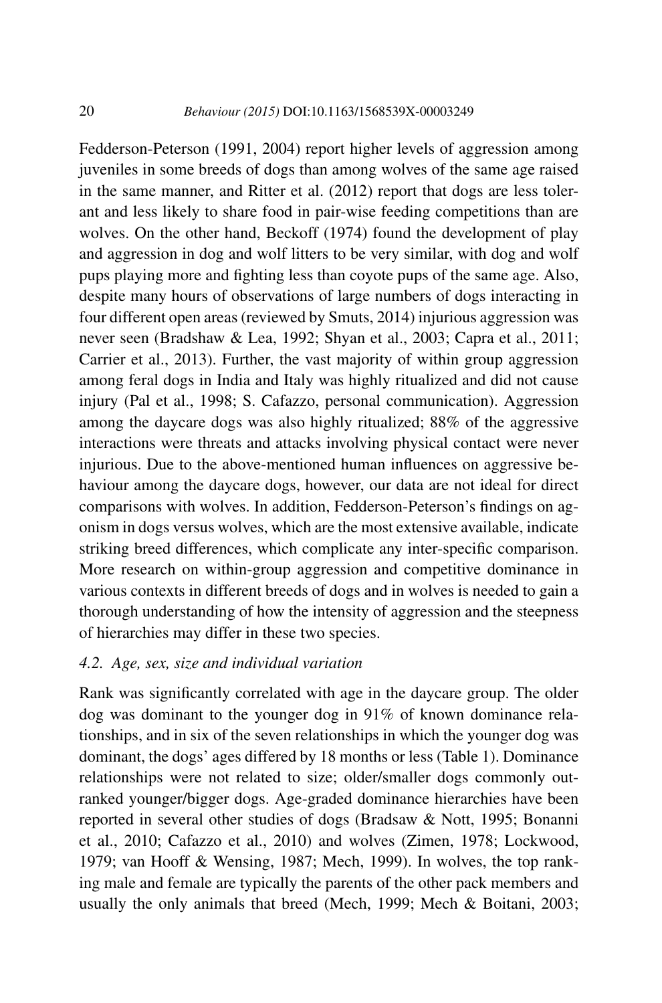Fedderson-Peterson (1991, 2004) report higher levels of aggression among juveniles in some breeds of dogs than among wolves of the same age raised in the same manner, and Ritter et al. (2012) report that dogs are less tolerant and less likely to share food in pair-wise feeding competitions than are wolves. On the other hand, Beckoff (1974) found the development of play and aggression in dog and wolf litters to be very similar, with dog and wolf pups playing more and fighting less than coyote pups of the same age. Also, despite many hours of observations of large numbers of dogs interacting in four different open areas (reviewed by Smuts, 2014) injurious aggression was never seen (Bradshaw & Lea, 1992; Shyan et al., 2003; Capra et al., 2011; Carrier et al., 2013). Further, the vast majority of within group aggression among feral dogs in India and Italy was highly ritualized and did not cause injury (Pal et al., 1998; S. Cafazzo, personal communication). Aggression among the daycare dogs was also highly ritualized; 88% of the aggressive interactions were threats and attacks involving physical contact were never injurious. Due to the above-mentioned human influences on aggressive behaviour among the daycare dogs, however, our data are not ideal for direct comparisons with wolves. In addition, Fedderson-Peterson's findings on agonism in dogs versus wolves, which are the most extensive available, indicate striking breed differences, which complicate any inter-specific comparison. More research on within-group aggression and competitive dominance in various contexts in different breeds of dogs and in wolves is needed to gain a thorough understanding of how the intensity of aggression and the steepness of hierarchies may differ in these two species.

### *4.2. Age, sex, size and individual variation*

Rank was significantly correlated with age in the daycare group. The older dog was dominant to the younger dog in 91% of known dominance relationships, and in six of the seven relationships in which the younger dog was dominant, the dogs' ages differed by 18 months or less (Table 1). Dominance relationships were not related to size; older/smaller dogs commonly outranked younger/bigger dogs. Age-graded dominance hierarchies have been reported in several other studies of dogs (Bradsaw & Nott, 1995; Bonanni et al., 2010; Cafazzo et al., 2010) and wolves (Zimen, 1978; Lockwood, 1979; van Hooff & Wensing, 1987; Mech, 1999). In wolves, the top ranking male and female are typically the parents of the other pack members and usually the only animals that breed (Mech, 1999; Mech & Boitani, 2003;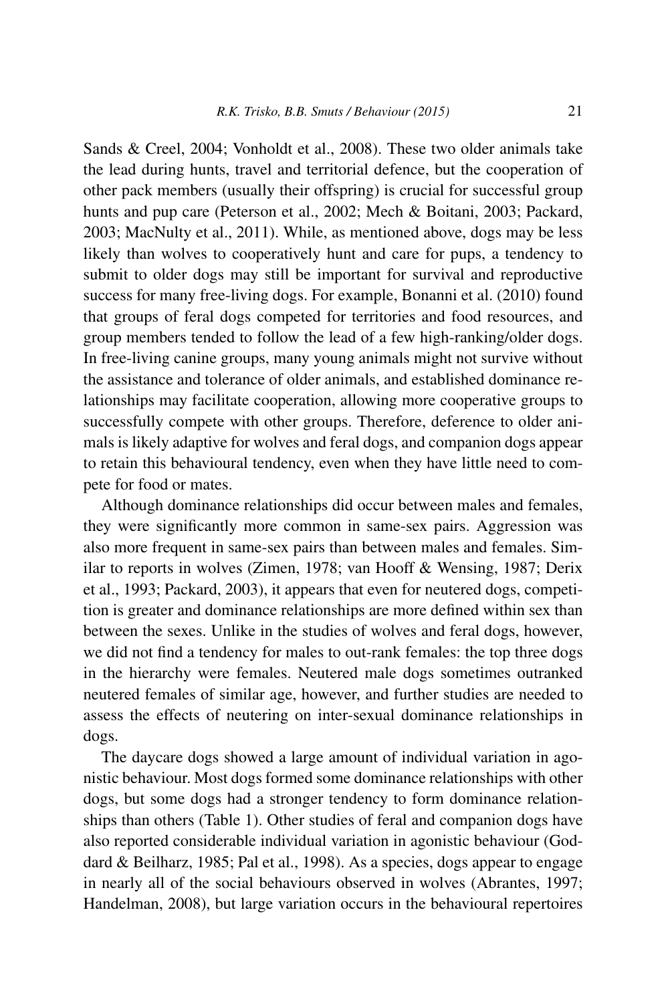Sands & Creel, 2004; Vonholdt et al., 2008). These two older animals take the lead during hunts, travel and territorial defence, but the cooperation of other pack members (usually their offspring) is crucial for successful group hunts and pup care (Peterson et al., 2002; Mech & Boitani, 2003; Packard, 2003; MacNulty et al., 2011). While, as mentioned above, dogs may be less likely than wolves to cooperatively hunt and care for pups, a tendency to submit to older dogs may still be important for survival and reproductive success for many free-living dogs. For example, Bonanni et al. (2010) found that groups of feral dogs competed for territories and food resources, and group members tended to follow the lead of a few high-ranking/older dogs. In free-living canine groups, many young animals might not survive without the assistance and tolerance of older animals, and established dominance relationships may facilitate cooperation, allowing more cooperative groups to successfully compete with other groups. Therefore, deference to older animals is likely adaptive for wolves and feral dogs, and companion dogs appear to retain this behavioural tendency, even when they have little need to compete for food or mates.

Although dominance relationships did occur between males and females, they were significantly more common in same-sex pairs. Aggression was also more frequent in same-sex pairs than between males and females. Similar to reports in wolves (Zimen, 1978; van Hooff & Wensing, 1987; Derix et al., 1993; Packard, 2003), it appears that even for neutered dogs, competition is greater and dominance relationships are more defined within sex than between the sexes. Unlike in the studies of wolves and feral dogs, however, we did not find a tendency for males to out-rank females: the top three dogs in the hierarchy were females. Neutered male dogs sometimes outranked neutered females of similar age, however, and further studies are needed to assess the effects of neutering on inter-sexual dominance relationships in dogs.

The daycare dogs showed a large amount of individual variation in agonistic behaviour. Most dogs formed some dominance relationships with other dogs, but some dogs had a stronger tendency to form dominance relationships than others (Table 1). Other studies of feral and companion dogs have also reported considerable individual variation in agonistic behaviour (Goddard & Beilharz, 1985; Pal et al., 1998). As a species, dogs appear to engage in nearly all of the social behaviours observed in wolves (Abrantes, 1997; Handelman, 2008), but large variation occurs in the behavioural repertoires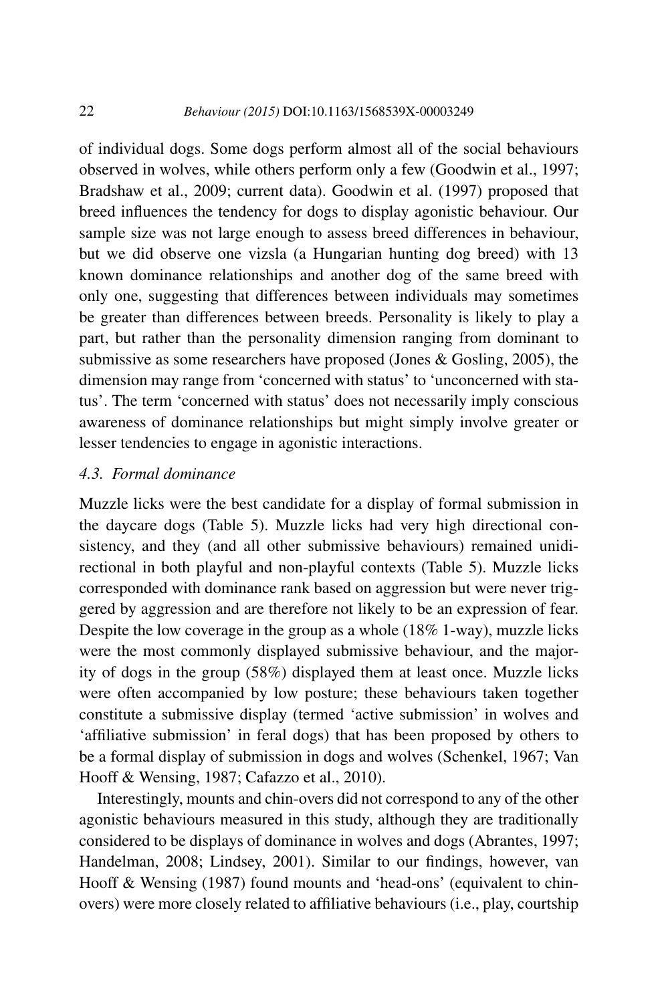of individual dogs. Some dogs perform almost all of the social behaviours observed in wolves, while others perform only a few (Goodwin et al., 1997; Bradshaw et al., 2009; current data). Goodwin et al. (1997) proposed that breed influences the tendency for dogs to display agonistic behaviour. Our sample size was not large enough to assess breed differences in behaviour, but we did observe one vizsla (a Hungarian hunting dog breed) with 13 known dominance relationships and another dog of the same breed with only one, suggesting that differences between individuals may sometimes be greater than differences between breeds. Personality is likely to play a part, but rather than the personality dimension ranging from dominant to submissive as some researchers have proposed (Jones & Gosling, 2005), the dimension may range from 'concerned with status' to 'unconcerned with status'. The term 'concerned with status' does not necessarily imply conscious awareness of dominance relationships but might simply involve greater or lesser tendencies to engage in agonistic interactions.

### *4.3. Formal dominance*

Muzzle licks were the best candidate for a display of formal submission in the daycare dogs (Table 5). Muzzle licks had very high directional consistency, and they (and all other submissive behaviours) remained unidirectional in both playful and non-playful contexts (Table 5). Muzzle licks corresponded with dominance rank based on aggression but were never triggered by aggression and are therefore not likely to be an expression of fear. Despite the low coverage in the group as a whole (18% 1-way), muzzle licks were the most commonly displayed submissive behaviour, and the majority of dogs in the group (58%) displayed them at least once. Muzzle licks were often accompanied by low posture; these behaviours taken together constitute a submissive display (termed 'active submission' in wolves and 'affiliative submission' in feral dogs) that has been proposed by others to be a formal display of submission in dogs and wolves (Schenkel, 1967; Van Hooff & Wensing, 1987; Cafazzo et al., 2010).

Interestingly, mounts and chin-overs did not correspond to any of the other agonistic behaviours measured in this study, although they are traditionally considered to be displays of dominance in wolves and dogs (Abrantes, 1997; Handelman, 2008; Lindsey, 2001). Similar to our findings, however, van Hooff & Wensing (1987) found mounts and 'head-ons' (equivalent to chinovers) were more closely related to affiliative behaviours (i.e., play, courtship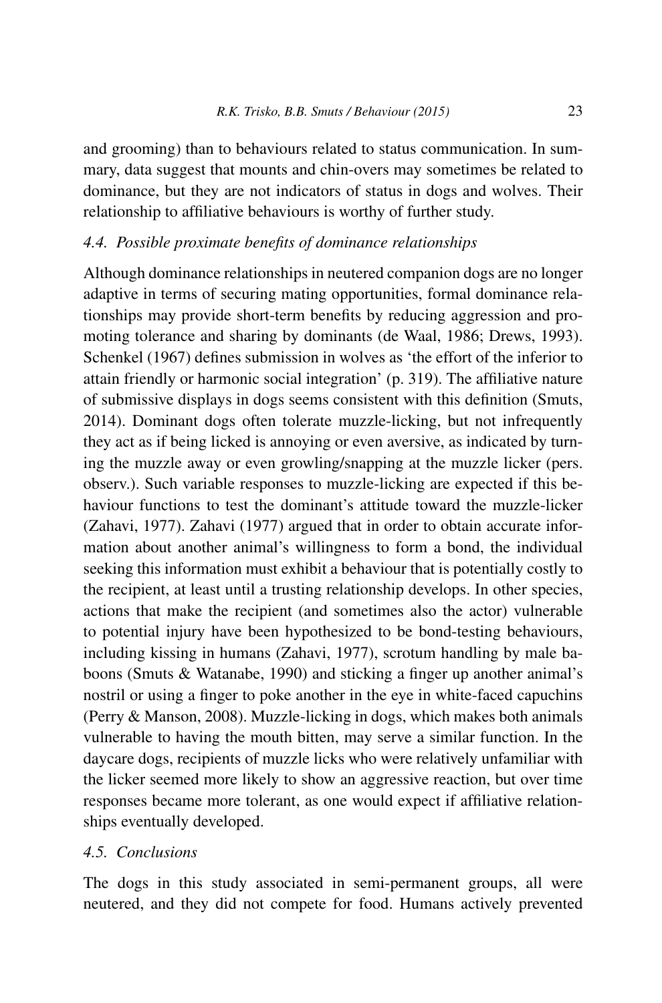and grooming) than to behaviours related to status communication. In summary, data suggest that mounts and chin-overs may sometimes be related to dominance, but they are not indicators of status in dogs and wolves. Their relationship to affiliative behaviours is worthy of further study.

### *4.4. Possible proximate benefits of dominance relationships*

Although dominance relationships in neutered companion dogs are no longer adaptive in terms of securing mating opportunities, formal dominance relationships may provide short-term benefits by reducing aggression and promoting tolerance and sharing by dominants (de Waal, 1986; Drews, 1993). Schenkel (1967) defines submission in wolves as 'the effort of the inferior to attain friendly or harmonic social integration' (p. 319). The affiliative nature of submissive displays in dogs seems consistent with this definition (Smuts, 2014). Dominant dogs often tolerate muzzle-licking, but not infrequently they act as if being licked is annoying or even aversive, as indicated by turning the muzzle away or even growling/snapping at the muzzle licker (pers. observ.). Such variable responses to muzzle-licking are expected if this behaviour functions to test the dominant's attitude toward the muzzle-licker (Zahavi, 1977). Zahavi (1977) argued that in order to obtain accurate information about another animal's willingness to form a bond, the individual seeking this information must exhibit a behaviour that is potentially costly to the recipient, at least until a trusting relationship develops. In other species, actions that make the recipient (and sometimes also the actor) vulnerable to potential injury have been hypothesized to be bond-testing behaviours, including kissing in humans (Zahavi, 1977), scrotum handling by male baboons (Smuts & Watanabe, 1990) and sticking a finger up another animal's nostril or using a finger to poke another in the eye in white-faced capuchins (Perry & Manson, 2008). Muzzle-licking in dogs, which makes both animals vulnerable to having the mouth bitten, may serve a similar function. In the daycare dogs, recipients of muzzle licks who were relatively unfamiliar with the licker seemed more likely to show an aggressive reaction, but over time responses became more tolerant, as one would expect if affiliative relationships eventually developed.

# *4.5. Conclusions*

The dogs in this study associated in semi-permanent groups, all were neutered, and they did not compete for food. Humans actively prevented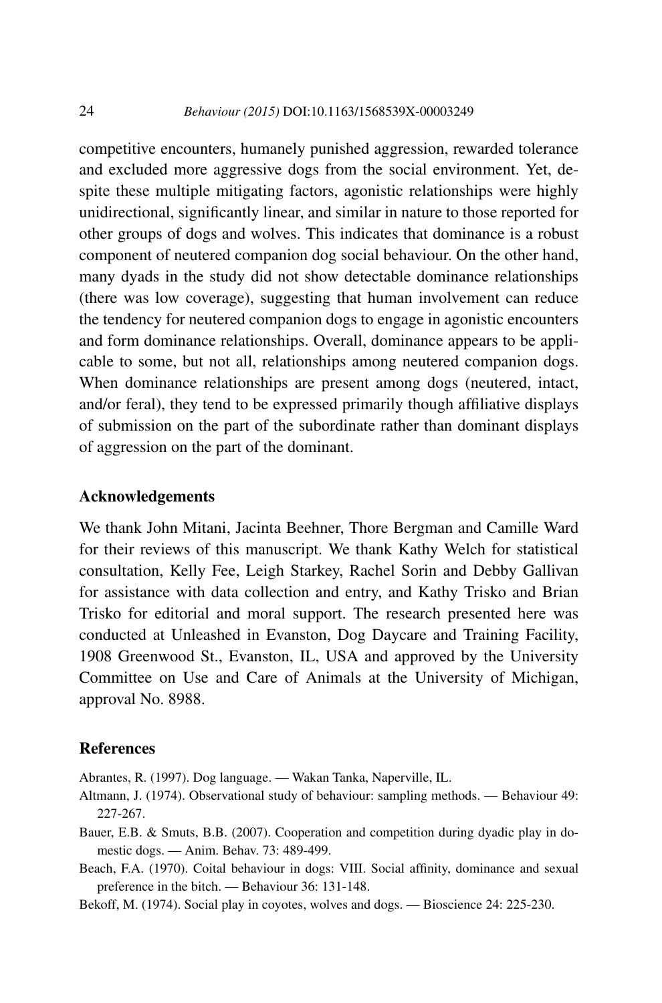competitive encounters, humanely punished aggression, rewarded tolerance and excluded more aggressive dogs from the social environment. Yet, despite these multiple mitigating factors, agonistic relationships were highly unidirectional, significantly linear, and similar in nature to those reported for other groups of dogs and wolves. This indicates that dominance is a robust component of neutered companion dog social behaviour. On the other hand, many dyads in the study did not show detectable dominance relationships (there was low coverage), suggesting that human involvement can reduce the tendency for neutered companion dogs to engage in agonistic encounters and form dominance relationships. Overall, dominance appears to be applicable to some, but not all, relationships among neutered companion dogs. When dominance relationships are present among dogs (neutered, intact, and/or feral), they tend to be expressed primarily though affiliative displays of submission on the part of the subordinate rather than dominant displays of aggression on the part of the dominant.

### **Acknowledgements**

We thank John Mitani, Jacinta Beehner, Thore Bergman and Camille Ward for their reviews of this manuscript. We thank Kathy Welch for statistical consultation, Kelly Fee, Leigh Starkey, Rachel Sorin and Debby Gallivan for assistance with data collection and entry, and Kathy Trisko and Brian Trisko for editorial and moral support. The research presented here was conducted at Unleashed in Evanston, Dog Daycare and Training Facility, 1908 Greenwood St., Evanston, IL, USA and approved by the University Committee on Use and Care of Animals at the University of Michigan, approval No. 8988.

#### **References**

Abrantes, R. (1997). Dog language. — Wakan Tanka, Naperville, IL.

- Altmann, J. (1974). Observational study of behaviour: sampling methods. Behaviour 49: 227-267.
- Bauer, E.B. & Smuts, B.B. (2007). Cooperation and competition during dyadic play in domestic dogs. — Anim. Behav. 73: 489-499.
- Beach, F.A. (1970). Coital behaviour in dogs: VIII. Social affinity, dominance and sexual preference in the bitch. — Behaviour 36: 131-148.
- Bekoff, M. (1974). Social play in coyotes, wolves and dogs. Bioscience 24: 225-230.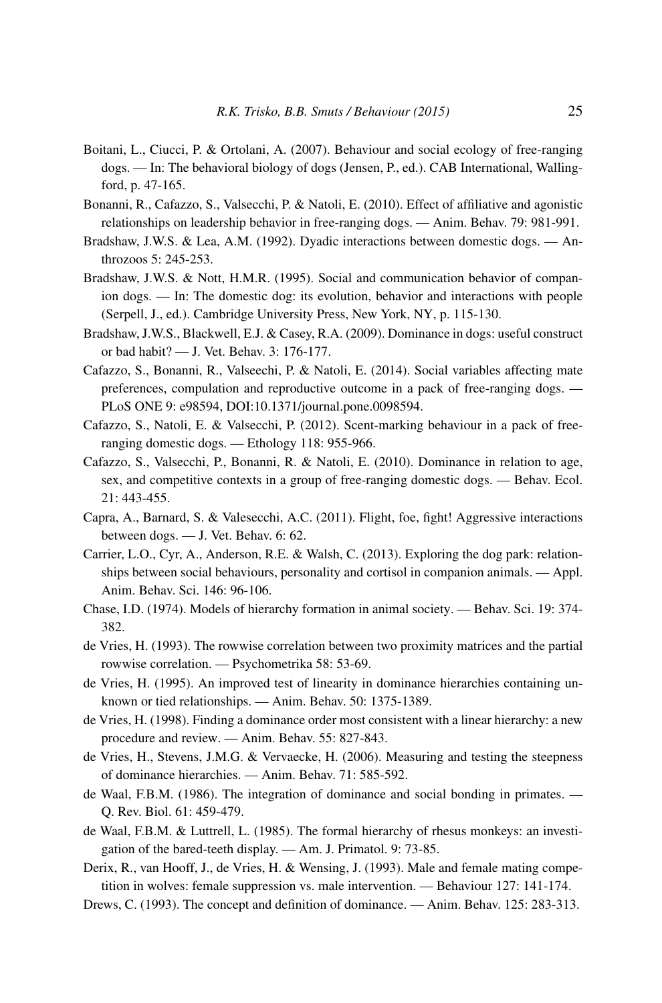- Boitani, L., Ciucci, P. & Ortolani, A. (2007). Behaviour and social ecology of free-ranging dogs. — In: The behavioral biology of dogs (Jensen, P., ed.). CAB International, Wallingford, p. 47-165.
- Bonanni, R., Cafazzo, S., Valsecchi, P. & Natoli, E. (2010). Effect of affiliative and agonistic relationships on leadership behavior in free-ranging dogs. — Anim. Behav. 79: 981-991.
- Bradshaw, J.W.S. & Lea, A.M. (1992). Dyadic interactions between domestic dogs. Anthrozoos 5: 245-253.
- Bradshaw, J.W.S. & Nott, H.M.R. (1995). Social and communication behavior of companion dogs. — In: The domestic dog: its evolution, behavior and interactions with people (Serpell, J., ed.). Cambridge University Press, New York, NY, p. 115-130.
- Bradshaw, J.W.S., Blackwell, E.J. & Casey, R.A. (2009). Dominance in dogs: useful construct or bad habit? — J. Vet. Behav. 3: 176-177.
- Cafazzo, S., Bonanni, R., Valseechi, P. & Natoli, E. (2014). Social variables affecting mate preferences, compulation and reproductive outcome in a pack of free-ranging dogs. — PLoS ONE 9: e98594, DOI:[10.1371/journal.pone.0098594.](http://dx.doi.org/10.1371/journal.pone.0098594)
- Cafazzo, S., Natoli, E. & Valsecchi, P. (2012). Scent-marking behaviour in a pack of freeranging domestic dogs. — Ethology 118: 955-966.
- Cafazzo, S., Valsecchi, P., Bonanni, R. & Natoli, E. (2010). Dominance in relation to age, sex, and competitive contexts in a group of free-ranging domestic dogs. — Behav. Ecol. 21: 443-455.
- Capra, A., Barnard, S. & Valesecchi, A.C. (2011). Flight, foe, fight! Aggressive interactions between dogs. — J. Vet. Behav. 6: 62.
- Carrier, L.O., Cyr, A., Anderson, R.E. & Walsh, C. (2013). Exploring the dog park: relationships between social behaviours, personality and cortisol in companion animals. — Appl. Anim. Behav. Sci. 146: 96-106.
- Chase, I.D. (1974). Models of hierarchy formation in animal society. Behav. Sci. 19: 374- 382.
- de Vries, H. (1993). The rowwise correlation between two proximity matrices and the partial rowwise correlation. — Psychometrika 58: 53-69.
- de Vries, H. (1995). An improved test of linearity in dominance hierarchies containing unknown or tied relationships. — Anim. Behav. 50: 1375-1389.
- de Vries, H. (1998). Finding a dominance order most consistent with a linear hierarchy: a new procedure and review. — Anim. Behav. 55: 827-843.
- de Vries, H., Stevens, J.M.G. & Vervaecke, H. (2006). Measuring and testing the steepness of dominance hierarchies. — Anim. Behav. 71: 585-592.
- de Waal, F.B.M. (1986). The integration of dominance and social bonding in primates. Q. Rev. Biol. 61: 459-479.
- de Waal, F.B.M. & Luttrell, L. (1985). The formal hierarchy of rhesus monkeys: an investigation of the bared-teeth display. — Am. J. Primatol. 9: 73-85.
- Derix, R., van Hooff, J., de Vries, H. & Wensing, J. (1993). Male and female mating competition in wolves: female suppression vs. male intervention. — Behaviour 127: 141-174.
- Drews, C. (1993). The concept and definition of dominance. Anim. Behav. 125: 283-313.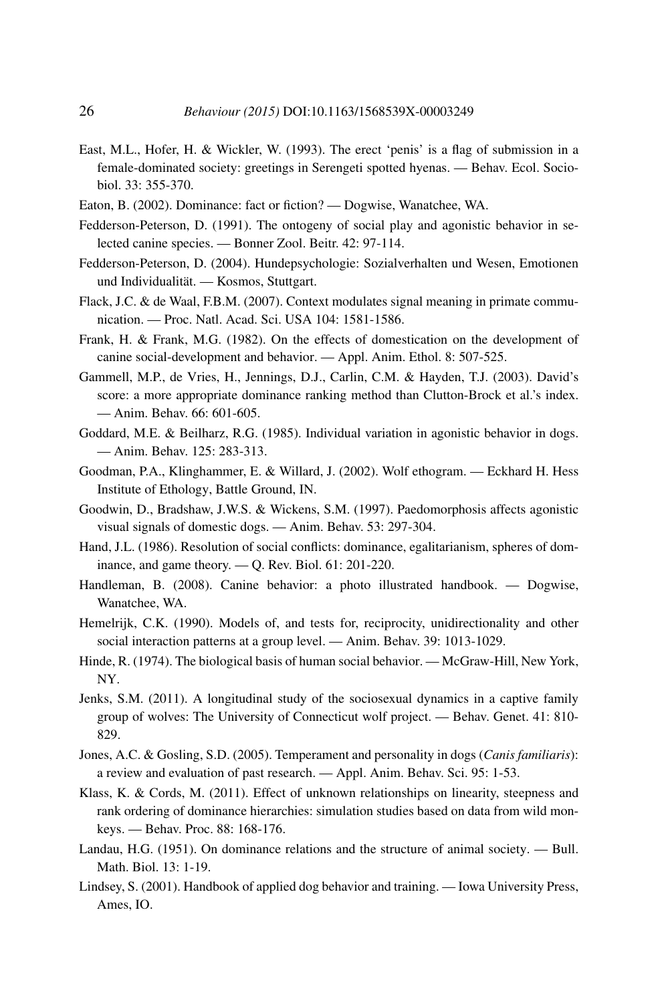- East, M.L., Hofer, H. & Wickler, W. (1993). The erect 'penis' is a flag of submission in a female-dominated society: greetings in Serengeti spotted hyenas. — Behav. Ecol. Sociobiol. 33: 355-370.
- Eaton, B. (2002). Dominance: fact or fiction? Dogwise, Wanatchee, WA.
- Fedderson-Peterson, D. (1991). The ontogeny of social play and agonistic behavior in selected canine species. — Bonner Zool. Beitr. 42: 97-114.
- Fedderson-Peterson, D. (2004). Hundepsychologie: Sozialverhalten und Wesen, Emotionen und Individualität. — Kosmos, Stuttgart.
- Flack, J.C. & de Waal, F.B.M. (2007). Context modulates signal meaning in primate communication. — Proc. Natl. Acad. Sci. USA 104: 1581-1586.
- Frank, H. & Frank, M.G. (1982). On the effects of domestication on the development of canine social-development and behavior. — Appl. Anim. Ethol. 8: 507-525.
- Gammell, M.P., de Vries, H., Jennings, D.J., Carlin, C.M. & Hayden, T.J. (2003). David's score: a more appropriate dominance ranking method than Clutton-Brock et al.'s index. — Anim. Behav. 66: 601-605.
- Goddard, M.E. & Beilharz, R.G. (1985). Individual variation in agonistic behavior in dogs. — Anim. Behav. 125: 283-313.
- Goodman, P.A., Klinghammer, E. & Willard, J. (2002). Wolf ethogram. Eckhard H. Hess Institute of Ethology, Battle Ground, IN.
- Goodwin, D., Bradshaw, J.W.S. & Wickens, S.M. (1997). Paedomorphosis affects agonistic visual signals of domestic dogs. — Anim. Behav. 53: 297-304.
- Hand, J.L. (1986). Resolution of social conflicts: dominance, egalitarianism, spheres of dominance, and game theory. — Q. Rev. Biol. 61: 201-220.
- Handleman, B. (2008). Canine behavior: a photo illustrated handbook. Dogwise, Wanatchee, WA.
- Hemelrijk, C.K. (1990). Models of, and tests for, reciprocity, unidirectionality and other social interaction patterns at a group level. — Anim. Behav. 39: 1013-1029.
- Hinde, R. (1974). The biological basis of human social behavior. McGraw-Hill, New York, NY.
- Jenks, S.M. (2011). A longitudinal study of the sociosexual dynamics in a captive family group of wolves: The University of Connecticut wolf project. — Behav. Genet. 41: 810- 829.
- Jones, A.C. & Gosling, S.D. (2005). Temperament and personality in dogs (*Canis familiaris*): a review and evaluation of past research. — Appl. Anim. Behav. Sci. 95: 1-53.
- Klass, K. & Cords, M. (2011). Effect of unknown relationships on linearity, steepness and rank ordering of dominance hierarchies: simulation studies based on data from wild monkeys. — Behav. Proc. 88: 168-176.
- Landau, H.G. (1951). On dominance relations and the structure of animal society. Bull. Math. Biol. 13: 1-19.
- Lindsey, S. (2001). Handbook of applied dog behavior and training. Iowa University Press, Ames, IO.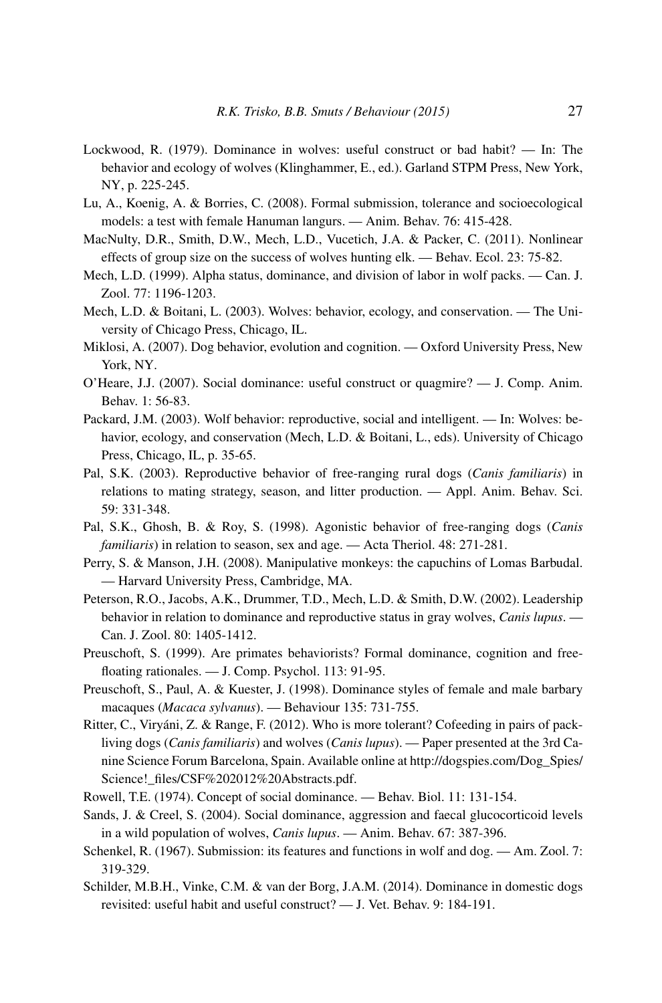- Lockwood, R. (1979). Dominance in wolves: useful construct or bad habit? In: The behavior and ecology of wolves (Klinghammer, E., ed.). Garland STPM Press, New York, NY, p. 225-245.
- Lu, A., Koenig, A. & Borries, C. (2008). Formal submission, tolerance and socioecological models: a test with female Hanuman langurs. — Anim. Behav. 76: 415-428.
- MacNulty, D.R., Smith, D.W., Mech, L.D., Vucetich, J.A. & Packer, C. (2011). Nonlinear effects of group size on the success of wolves hunting elk. — Behav. Ecol. 23: 75-82.
- Mech, L.D. (1999). Alpha status, dominance, and division of labor in wolf packs. Can. J. Zool. 77: 1196-1203.
- Mech, L.D. & Boitani, L. (2003). Wolves: behavior, ecology, and conservation. The University of Chicago Press, Chicago, IL.
- Miklosi, A. (2007). Dog behavior, evolution and cognition. Oxford University Press, New York, NY.
- O'Heare, J.J. (2007). Social dominance: useful construct or quagmire? J. Comp. Anim. Behav. 1: 56-83.
- Packard, J.M. (2003). Wolf behavior: reproductive, social and intelligent. In: Wolves: behavior, ecology, and conservation (Mech, L.D. & Boitani, L., eds). University of Chicago Press, Chicago, IL, p. 35-65.
- Pal, S.K. (2003). Reproductive behavior of free-ranging rural dogs (*Canis familiaris*) in relations to mating strategy, season, and litter production. — Appl. Anim. Behav. Sci. 59: 331-348.
- Pal, S.K., Ghosh, B. & Roy, S. (1998). Agonistic behavior of free-ranging dogs (*Canis familiaris*) in relation to season, sex and age. — Acta Theriol. 48: 271-281.
- Perry, S. & Manson, J.H. (2008). Manipulative monkeys: the capuchins of Lomas Barbudal. — Harvard University Press, Cambridge, MA.
- Peterson, R.O., Jacobs, A.K., Drummer, T.D., Mech, L.D. & Smith, D.W. (2002). Leadership behavior in relation to dominance and reproductive status in gray wolves, *Canis lupus*. — Can. J. Zool. 80: 1405-1412.
- Preuschoft, S. (1999). Are primates behaviorists? Formal dominance, cognition and freefloating rationales. — J. Comp. Psychol. 113: 91-95.
- Preuschoft, S., Paul, A. & Kuester, J. (1998). Dominance styles of female and male barbary macaques (*Macaca sylvanus*). — Behaviour 135: 731-755.
- Ritter, C., Viryáni, Z. & Range, F. (2012). Who is more tolerant? Cofeeding in pairs of packliving dogs (*Canis familiaris*) and wolves (*Canis lupus*). — Paper presented at the 3rd Canine Science Forum Barcelona, Spain. Available online at [http://dogspies.com/Dog\\_Spies/](http://dogspies.com/Dog_Spies/Science!_files/CSF%202012%20Abstracts.pdf) Science! files/CSF%202012%20Abstracts.pdf.
- Rowell, T.E. (1974). Concept of social dominance. Behav. Biol. 11: 131-154.
- Sands, J. & Creel, S. (2004). Social dominance, aggression and faecal glucocorticoid levels in a wild population of wolves, *Canis lupus*. — Anim. Behav. 67: 387-396.
- Schenkel, R. (1967). Submission: its features and functions in wolf and dog. Am. Zool. 7: 319-329.
- Schilder, M.B.H., Vinke, C.M. & van der Borg, J.A.M. (2014). Dominance in domestic dogs revisited: useful habit and useful construct? — J. Vet. Behav. 9: 184-191.